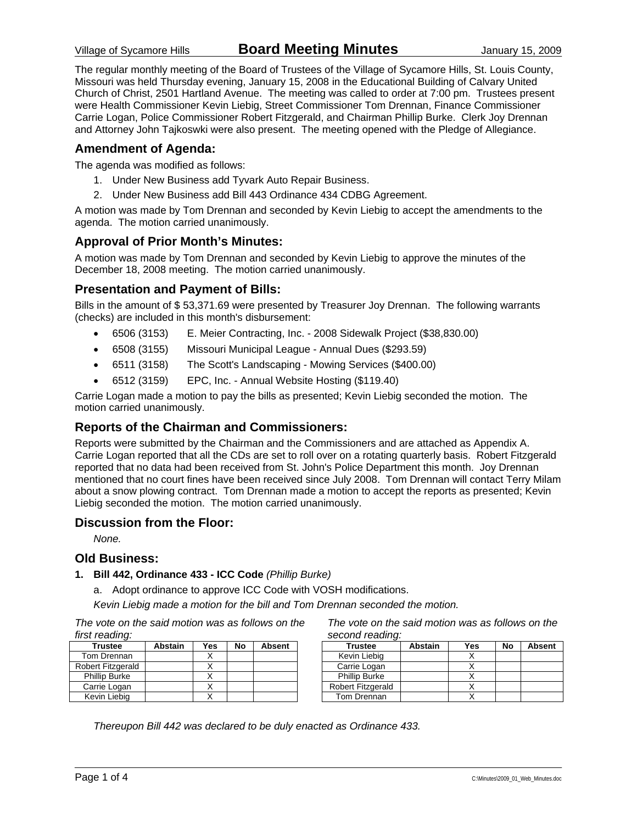The regular monthly meeting of the Board of Trustees of the Village of Sycamore Hills, St. Louis County, Missouri was held Thursday evening, January 15, 2008 in the Educational Building of Calvary United Church of Christ, 2501 Hartland Avenue. The meeting was called to order at 7:00 pm. Trustees present were Health Commissioner Kevin Liebig, Street Commissioner Tom Drennan, Finance Commissioner Carrie Logan, Police Commissioner Robert Fitzgerald, and Chairman Phillip Burke. Clerk Joy Drennan and Attorney John Tajkoswki were also present. The meeting opened with the Pledge of Allegiance.

### **Amendment of Agenda:**

The agenda was modified as follows:

- 1. Under New Business add Tyvark Auto Repair Business.
- 2. Under New Business add Bill 443 Ordinance 434 CDBG Agreement.

A motion was made by Tom Drennan and seconded by Kevin Liebig to accept the amendments to the agenda. The motion carried unanimously.

### **Approval of Prior Month's Minutes:**

A motion was made by Tom Drennan and seconded by Kevin Liebig to approve the minutes of the December 18, 2008 meeting. The motion carried unanimously.

### **Presentation and Payment of Bills:**

Bills in the amount of \$ 53,371.69 were presented by Treasurer Joy Drennan. The following warrants (checks) are included in this month's disbursement:

- 6506 (3153) E. Meier Contracting, Inc. 2008 Sidewalk Project (\$38,830.00)
- 6508 (3155) Missouri Municipal League Annual Dues (\$293.59)
- 6511 (3158) The Scott's Landscaping Mowing Services (\$400.00)
- 6512 (3159) EPC, Inc. Annual Website Hosting (\$119.40)

Carrie Logan made a motion to pay the bills as presented; Kevin Liebig seconded the motion. The motion carried unanimously.

### **Reports of the Chairman and Commissioners:**

Reports were submitted by the Chairman and the Commissioners and are attached as Appendix A. Carrie Logan reported that all the CDs are set to roll over on a rotating quarterly basis. Robert Fitzgerald reported that no data had been received from St. John's Police Department this month. Joy Drennan mentioned that no court fines have been received since July 2008. Tom Drennan will contact Terry Milam about a snow plowing contract. Tom Drennan made a motion to accept the reports as presented; Kevin Liebig seconded the motion. The motion carried unanimously.

#### **Discussion from the Floor:**

*None.* 

#### **Old Business:**

#### **1. Bill 442, Ordinance 433 - ICC Code** *(Phillip Burke)*

a. Adopt ordinance to approve ICC Code with VOSH modifications.

*Kevin Liebig made a motion for the bill and Tom Drennan seconded the motion.* 

*The vote on the said motion was as follows on the first reading:* 

| <b>Trustee</b>       | <b>Abstain</b> | Yes | No | <b>Absent</b> |
|----------------------|----------------|-----|----|---------------|
| Tom Drennan          |                |     |    |               |
| Robert Fitzgerald    |                |     |    |               |
| <b>Phillip Burke</b> |                |     |    |               |
| Carrie Logan         |                |     |    |               |
| Kevin Liebig         |                |     |    |               |

*The vote on the said motion was as follows on the second reading:* 

| <b>Trustee</b>       | <b>Abstain</b> | Yes | No | <b>Absent</b> |
|----------------------|----------------|-----|----|---------------|
| Kevin Liebig         |                |     |    |               |
| Carrie Logan         |                |     |    |               |
| <b>Phillip Burke</b> |                |     |    |               |
| Robert Fitzgerald    |                |     |    |               |
| Tom Drennan          |                |     |    |               |

*Thereupon Bill 442 was declared to be duly enacted as Ordinance 433.*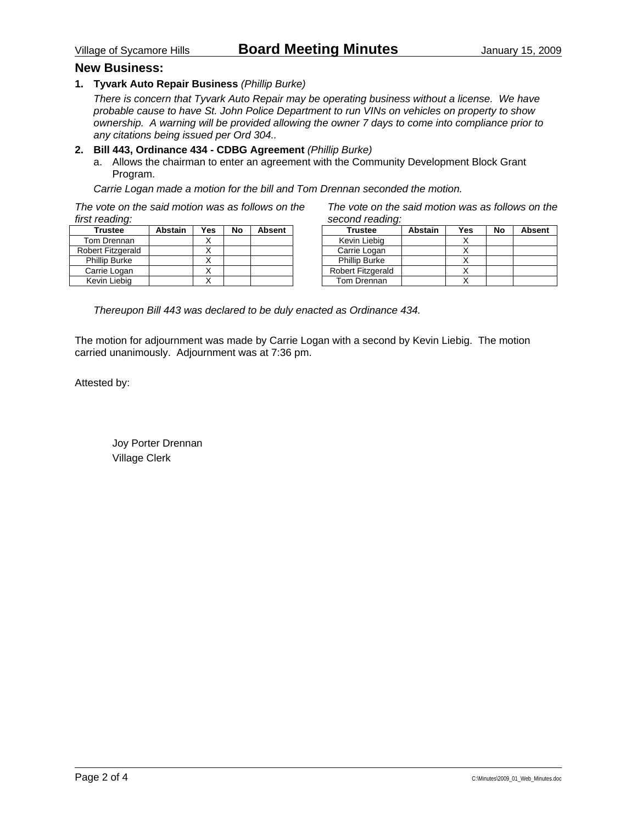#### **New Business:**

**1. Tyvark Auto Repair Business** *(Phillip Burke)*

*There is concern that Tyvark Auto Repair may be operating business without a license. We have probable cause to have St. John Police Department to run VINs on vehicles on property to show ownership. A warning will be provided allowing the owner 7 days to come into compliance prior to any citations being issued per Ord 304..* 

#### **2. Bill 443, Ordinance 434 - CDBG Agreement** *(Phillip Burke)*

a. Allows the chairman to enter an agreement with the Community Development Block Grant Program.

*Carrie Logan made a motion for the bill and Tom Drennan seconded the motion.* 

*The vote on the said motion was as follows on the first reading:* 

| <b>Trustee</b>           | <b>Abstain</b> | Yes | No | <b>Absent</b> |
|--------------------------|----------------|-----|----|---------------|
| Tom Drennan              |                |     |    |               |
| <b>Robert Fitzgerald</b> |                |     |    |               |
| <b>Phillip Burke</b>     |                |     |    |               |
| Carrie Logan             |                |     |    |               |
| Kevin Liebig             |                |     |    |               |

*The vote on the said motion was as follows on the second reading:* 

| <b>Trustee</b>       | <b>Abstain</b> | Yes | No | <b>Absent</b> |
|----------------------|----------------|-----|----|---------------|
| Kevin Liebig         |                |     |    |               |
| Carrie Logan         |                |     |    |               |
| <b>Phillip Burke</b> |                |     |    |               |
| Robert Fitzgerald    |                |     |    |               |
| Tom Drennan          |                |     |    |               |

*Thereupon Bill 443 was declared to be duly enacted as Ordinance 434.* 

The motion for adjournment was made by Carrie Logan with a second by Kevin Liebig. The motion carried unanimously. Adjournment was at 7:36 pm.

Attested by:

 Joy Porter Drennan Village Clerk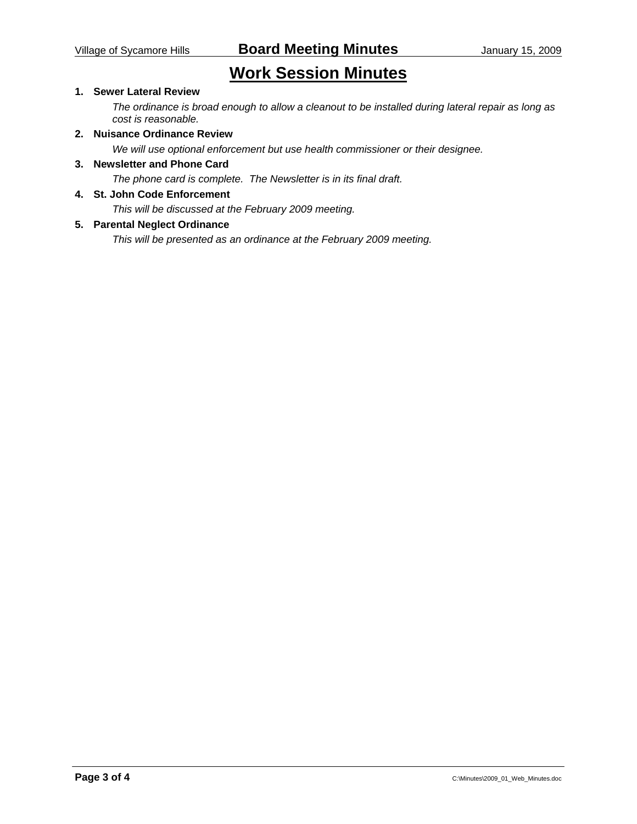# **Work Session Minutes**

### **1. Sewer Lateral Review**

*The ordinance is broad enough to allow a cleanout to be installed during lateral repair as long as cost is reasonable.* 

### **2. Nuisance Ordinance Review**

*We will use optional enforcement but use health commissioner or their designee.* 

#### **3. Newsletter and Phone Card**

*The phone card is complete. The Newsletter is in its final draft.* 

#### **4. St. John Code Enforcement**

*This will be discussed at the February 2009 meeting.* 

#### **5. Parental Neglect Ordinance**

*This will be presented as an ordinance at the February 2009 meeting.*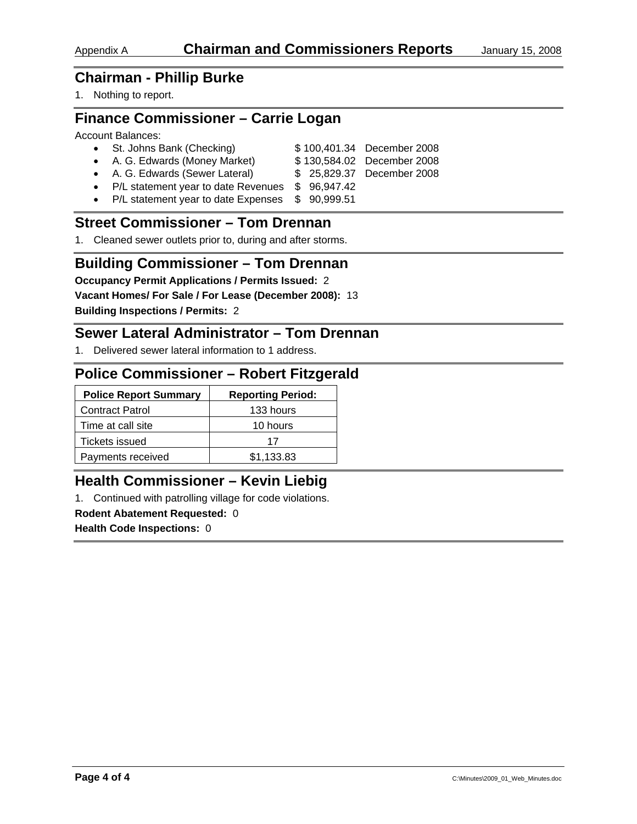## **Chairman - Phillip Burke**

1. Nothing to report.

## **Finance Commissioner – Carrie Logan**

#### Account Balances:

| • St. Johns Bank (Checking)                       |  | \$100,401.34 December 2008 |
|---------------------------------------------------|--|----------------------------|
| • A. G. Edwards (Money Market)                    |  | \$130,584.02 December 2008 |
| • A. G. Edwards (Sewer Lateral)                   |  | \$25,829.37 December 2008  |
| • P/L statement year to date Revenues \$96,947.42 |  |                            |
| • P/L statement year to date Expenses \$90,999.51 |  |                            |
|                                                   |  |                            |

## **Street Commissioner – Tom Drennan**

1. Cleaned sewer outlets prior to, during and after storms.

## **Building Commissioner – Tom Drennan**

**Occupancy Permit Applications / Permits Issued:** 2

**Vacant Homes/ For Sale / For Lease (December 2008):** 13

**Building Inspections / Permits:** 2

## **Sewer Lateral Administrator – Tom Drennan**

1. Delivered sewer lateral information to 1 address.

## **Police Commissioner – Robert Fitzgerald**

| <b>Police Report Summary</b> | <b>Reporting Period:</b> |
|------------------------------|--------------------------|
| <b>Contract Patrol</b>       | 133 hours                |
| Time at call site            | 10 hours                 |
| <b>Tickets issued</b>        | 17                       |
| Payments received            | \$1.133.83               |

## **Health Commissioner – Kevin Liebig**

1. Continued with patrolling village for code violations.

#### **Rodent Abatement Requested:** 0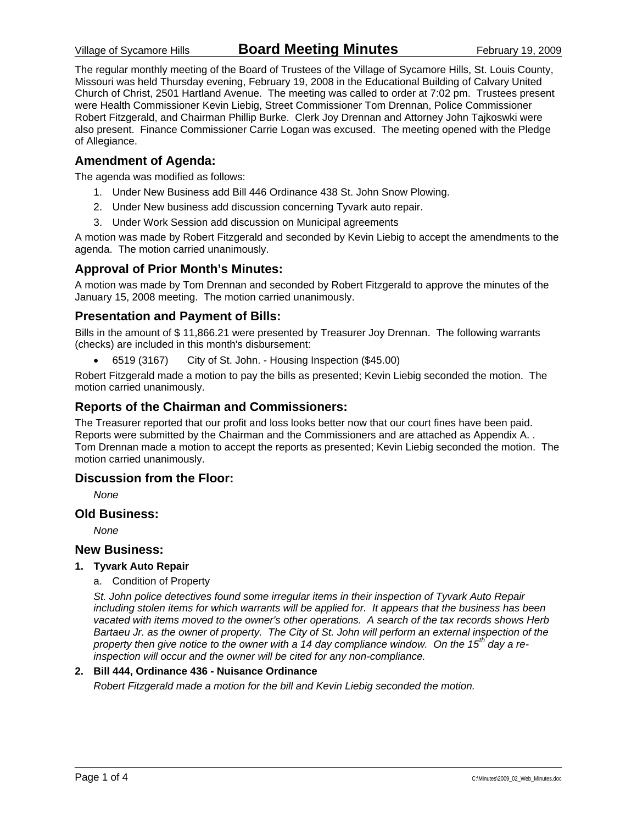The regular monthly meeting of the Board of Trustees of the Village of Sycamore Hills, St. Louis County, Missouri was held Thursday evening, February 19, 2008 in the Educational Building of Calvary United Church of Christ, 2501 Hartland Avenue. The meeting was called to order at 7:02 pm. Trustees present were Health Commissioner Kevin Liebig, Street Commissioner Tom Drennan, Police Commissioner Robert Fitzgerald, and Chairman Phillip Burke. Clerk Joy Drennan and Attorney John Tajkoswki were also present. Finance Commissioner Carrie Logan was excused. The meeting opened with the Pledge of Allegiance.

### **Amendment of Agenda:**

The agenda was modified as follows:

- 1. Under New Business add Bill 446 Ordinance 438 St. John Snow Plowing.
- 2. Under New business add discussion concerning Tyvark auto repair.
- 3. Under Work Session add discussion on Municipal agreements

A motion was made by Robert Fitzgerald and seconded by Kevin Liebig to accept the amendments to the agenda. The motion carried unanimously.

### **Approval of Prior Month's Minutes:**

A motion was made by Tom Drennan and seconded by Robert Fitzgerald to approve the minutes of the January 15, 2008 meeting. The motion carried unanimously.

### **Presentation and Payment of Bills:**

Bills in the amount of \$ 11,866.21 were presented by Treasurer Joy Drennan. The following warrants (checks) are included in this month's disbursement:

• 6519 (3167) City of St. John. - Housing Inspection (\$45.00)

Robert Fitzgerald made a motion to pay the bills as presented; Kevin Liebig seconded the motion. The motion carried unanimously.

### **Reports of the Chairman and Commissioners:**

The Treasurer reported that our profit and loss looks better now that our court fines have been paid. Reports were submitted by the Chairman and the Commissioners and are attached as Appendix A. . Tom Drennan made a motion to accept the reports as presented; Kevin Liebig seconded the motion. The motion carried unanimously.

#### **Discussion from the Floor:**

*None* 

#### **Old Business:**

*None* 

#### **New Business:**

#### **1. Tyvark Auto Repair**

a. Condition of Property

*St. John police detectives found some irregular items in their inspection of Tyvark Auto Repair including stolen items for which warrants will be applied for. It appears that the business has been vacated with items moved to the owner's other operations. A search of the tax records shows Herb Bartaeu Jr. as the owner of property. The City of St. John will perform an external inspection of the property then give notice to the owner with a 14 day compliance window. On the 15th day a reinspection will occur and the owner will be cited for any non-compliance.* 

#### **2. Bill 444, Ordinance 436 - Nuisance Ordinance**

*Robert Fitzgerald made a motion for the bill and Kevin Liebig seconded the motion.*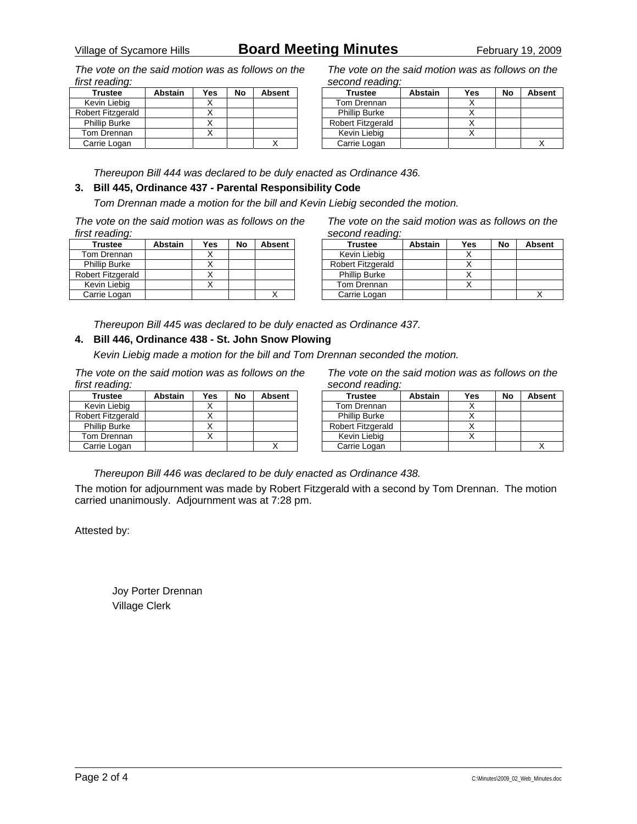# Village of Sycamore Hills **Board Meeting Minutes** February 19, 2009

*The vote on the said motion was as follows on the first reading:* 

| <b>Trustee</b>       | <b>Abstain</b> | Yes | No | <b>Absent</b> |
|----------------------|----------------|-----|----|---------------|
| Kevin Liebig         |                |     |    |               |
| Robert Fitzgerald    |                |     |    |               |
| <b>Phillip Burke</b> |                |     |    |               |
| Tom Drennan          |                |     |    |               |
| Carrie Logan         |                |     |    |               |

*The vote on the said motion was as follows on the second reading:* 

| <b>Trustee</b>           | Abstain | Yes | No | <b>Absent</b> |
|--------------------------|---------|-----|----|---------------|
| Tom Drennan              |         |     |    |               |
| <b>Phillip Burke</b>     |         |     |    |               |
| <b>Robert Fitzgerald</b> |         |     |    |               |
| Kevin Liebig             |         |     |    |               |
| Carrie Logan             |         |     |    |               |

*Thereupon Bill 444 was declared to be duly enacted as Ordinance 436.* 

#### **3. Bill 445, Ordinance 437 - Parental Responsibility Code**

*Tom Drennan made a motion for the bill and Kevin Liebig seconded the motion.* 

*The vote on the said motion was as follows on the first reading:* 

| <b>Trustee</b>       | <b>Abstain</b> | Yes | No | <b>Absent</b> |
|----------------------|----------------|-----|----|---------------|
| Tom Drennan          |                |     |    |               |
| <b>Phillip Burke</b> |                |     |    |               |
| Robert Fitzgerald    |                |     |    |               |
| Kevin Liebig         |                |     |    |               |
| Carrie Logan         |                |     |    |               |

*The vote on the said motion was as follows on the second reading:* 

| <b>Trustee</b>       | <b>Abstain</b> | Yes | No | <b>Absent</b> |
|----------------------|----------------|-----|----|---------------|
| Kevin Liebig         |                |     |    |               |
| Robert Fitzgerald    |                |     |    |               |
| <b>Phillip Burke</b> |                |     |    |               |
| Tom Drennan          |                |     |    |               |
| Carrie Logan         |                |     |    |               |

*Thereupon Bill 445 was declared to be duly enacted as Ordinance 437.* 

### **4. Bill 446, Ordinance 438 - St. John Snow Plowing**

*Kevin Liebig made a motion for the bill and Tom Drennan seconded the motion.* 

*The vote on the said motion was as follows on the first reading:* 

| <b>Trustee</b>       | <b>Abstain</b> | Yes | No | Absent |
|----------------------|----------------|-----|----|--------|
| Kevin Liebig         |                |     |    |        |
| Robert Fitzgerald    |                |     |    |        |
| <b>Phillip Burke</b> |                |     |    |        |
| Tom Drennan          |                |     |    |        |
| Carrie Logan         |                |     |    |        |

*The vote on the said motion was as follows on the second reading:* 

| Trustee                  | <b>Abstain</b> | Yes | No | <b>Absent</b> |
|--------------------------|----------------|-----|----|---------------|
| Tom Drennan              |                |     |    |               |
| <b>Phillip Burke</b>     |                |     |    |               |
| <b>Robert Fitzgerald</b> |                |     |    |               |
| Kevin Liebig             |                |     |    |               |
| Carrie Logan             |                |     |    |               |

*Thereupon Bill 446 was declared to be duly enacted as Ordinance 438.* 

The motion for adjournment was made by Robert Fitzgerald with a second by Tom Drennan. The motion carried unanimously. Adjournment was at 7:28 pm.

Attested by:

 Joy Porter Drennan Village Clerk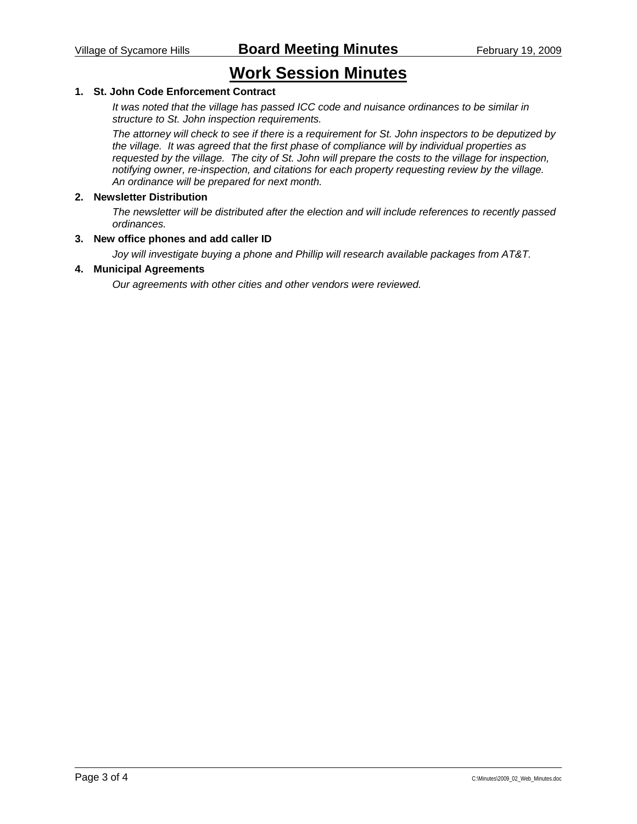# **Work Session Minutes**

### **1. St. John Code Enforcement Contract**

*It was noted that the village has passed ICC code and nuisance ordinances to be similar in structure to St. John inspection requirements.* 

*The attorney will check to see if there is a requirement for St. John inspectors to be deputized by the village. It was agreed that the first phase of compliance will by individual properties as requested by the village. The city of St. John will prepare the costs to the village for inspection, notifying owner, re-inspection, and citations for each property requesting review by the village. An ordinance will be prepared for next month.* 

#### **2. Newsletter Distribution**

*The newsletter will be distributed after the election and will include references to recently passed ordinances.* 

#### **3. New office phones and add caller ID**

*Joy will investigate buying a phone and Phillip will research available packages from AT&T.* 

#### **4. Municipal Agreements**

*Our agreements with other cities and other vendors were reviewed.*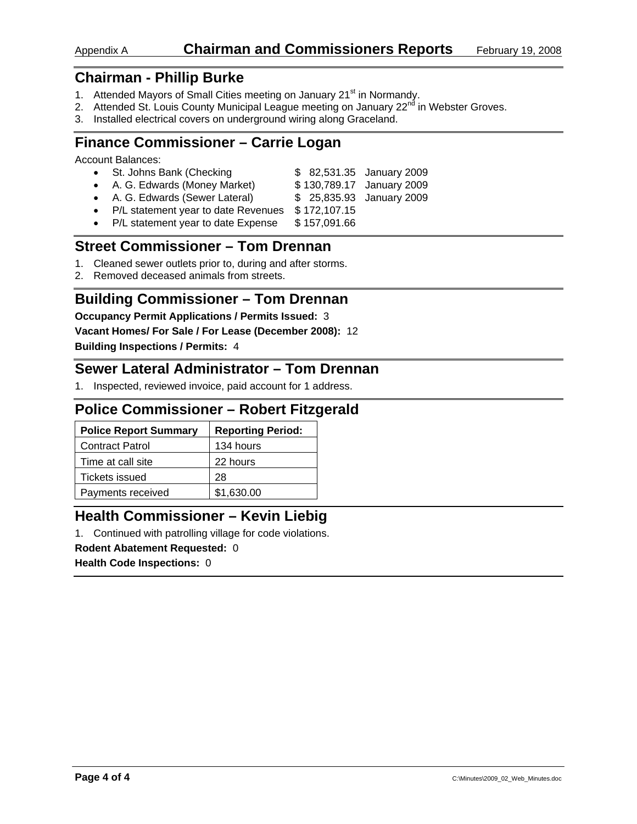## Appendix A **Chairman and Commissioners Reports** February 19, 2008

## **Chairman - Phillip Burke**

- 1. Attended Mayors of Small Cities meeting on January 21<sup>st</sup> in Normandy.
- 2. Attended St. Louis County Municipal League meeting on January 22<sup>nd</sup> in Webster Groves.
- 3. Installed electrical covers on underground wiring along Graceland.

## **Finance Commissioner – Carrie Logan**

Account Balances:

| • St. Johns Bank (Checking                  |              | \$ 82,531.35 January 2009 |
|---------------------------------------------|--------------|---------------------------|
| • A. G. Edwards (Money Market)              |              | \$130,789.17 January 2009 |
| • A. G. Edwards (Sewer Lateral)             |              | \$25,835.93 January 2009  |
| • P/L statement year to date Revenues       | \$172,107.15 |                           |
| Data tanàna mpikambana amin'ny fivondronan- | $A = 20400$  |                           |

P/L statement year to date Expense \$ 157,091.66

## **Street Commissioner – Tom Drennan**

- 1. Cleaned sewer outlets prior to, during and after storms.
- 2. Removed deceased animals from streets.

## **Building Commissioner – Tom Drennan**

**Occupancy Permit Applications / Permits Issued:** 3

**Vacant Homes/ For Sale / For Lease (December 2008):** 12

**Building Inspections / Permits:** 4

## **Sewer Lateral Administrator – Tom Drennan**

1. Inspected, reviewed invoice, paid account for 1 address.

## **Police Commissioner – Robert Fitzgerald**

| <b>Police Report Summary</b> | <b>Reporting Period:</b> |
|------------------------------|--------------------------|
| <b>Contract Patrol</b>       | 134 hours                |
| Time at call site            | 22 hours                 |
| Tickets issued               | 28                       |
| Payments received            | \$1,630.00               |

## **Health Commissioner – Kevin Liebig**

1. Continued with patrolling village for code violations.

#### **Rodent Abatement Requested:** 0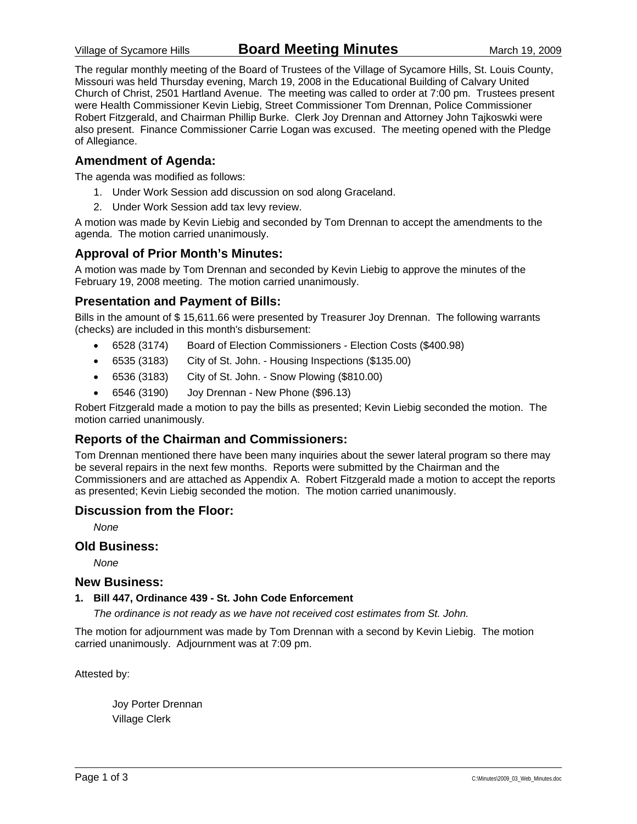The regular monthly meeting of the Board of Trustees of the Village of Sycamore Hills, St. Louis County, Missouri was held Thursday evening, March 19, 2008 in the Educational Building of Calvary United Church of Christ, 2501 Hartland Avenue. The meeting was called to order at 7:00 pm. Trustees present were Health Commissioner Kevin Liebig, Street Commissioner Tom Drennan, Police Commissioner Robert Fitzgerald, and Chairman Phillip Burke. Clerk Joy Drennan and Attorney John Tajkoswki were also present. Finance Commissioner Carrie Logan was excused. The meeting opened with the Pledge of Allegiance.

### **Amendment of Agenda:**

The agenda was modified as follows:

- 1. Under Work Session add discussion on sod along Graceland.
- 2. Under Work Session add tax levy review.

A motion was made by Kevin Liebig and seconded by Tom Drennan to accept the amendments to the agenda. The motion carried unanimously.

### **Approval of Prior Month's Minutes:**

A motion was made by Tom Drennan and seconded by Kevin Liebig to approve the minutes of the February 19, 2008 meeting. The motion carried unanimously.

### **Presentation and Payment of Bills:**

Bills in the amount of \$ 15,611.66 were presented by Treasurer Joy Drennan. The following warrants (checks) are included in this month's disbursement:

- 6528 (3174) Board of Election Commissioners Election Costs (\$400.98)
- 6535 (3183) City of St. John. Housing Inspections (\$135.00)
- 6536 (3183) City of St. John. Snow Plowing (\$810.00)
- 6546 (3190) Joy Drennan New Phone (\$96.13)

Robert Fitzgerald made a motion to pay the bills as presented; Kevin Liebig seconded the motion. The motion carried unanimously.

### **Reports of the Chairman and Commissioners:**

Tom Drennan mentioned there have been many inquiries about the sewer lateral program so there may be several repairs in the next few months. Reports were submitted by the Chairman and the Commissioners and are attached as Appendix A. Robert Fitzgerald made a motion to accept the reports as presented; Kevin Liebig seconded the motion. The motion carried unanimously.

#### **Discussion from the Floor:**

*None* 

#### **Old Business:**

*None* 

#### **New Business:**

#### **1. Bill 447, Ordinance 439 - St. John Code Enforcement**

*The ordinance is not ready as we have not received cost estimates from St. John.* 

The motion for adjournment was made by Tom Drennan with a second by Kevin Liebig. The motion carried unanimously. Adjournment was at 7:09 pm.

Attested by:

 Joy Porter Drennan Village Clerk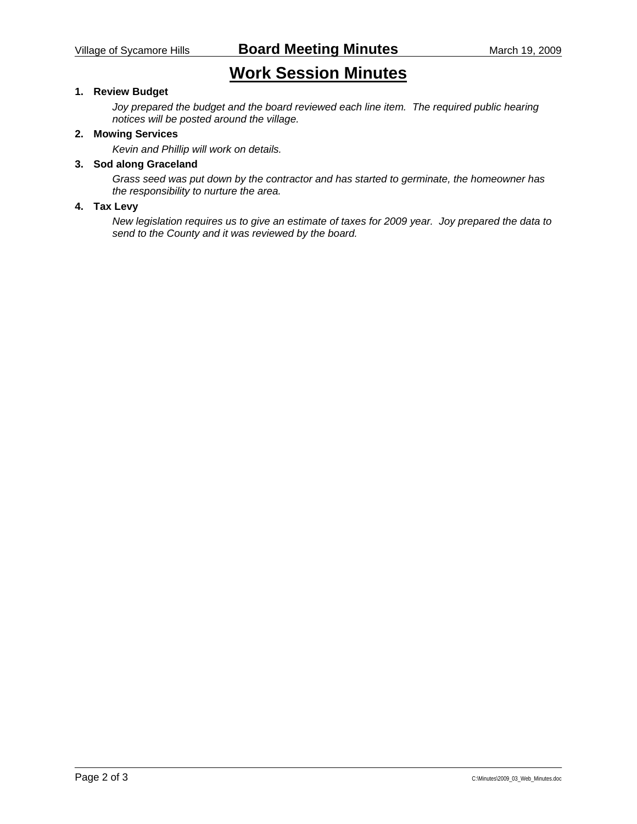# **Work Session Minutes**

### **1. Review Budget**

*Joy prepared the budget and the board reviewed each line item. The required public hearing notices will be posted around the village.* 

### **2. Mowing Services**

*Kevin and Phillip will work on details.* 

### **3. Sod along Graceland**

*Grass seed was put down by the contractor and has started to germinate, the homeowner has the responsibility to nurture the area.* 

#### **4. Tax Levy**

*New legislation requires us to give an estimate of taxes for 2009 year. Joy prepared the data to send to the County and it was reviewed by the board.*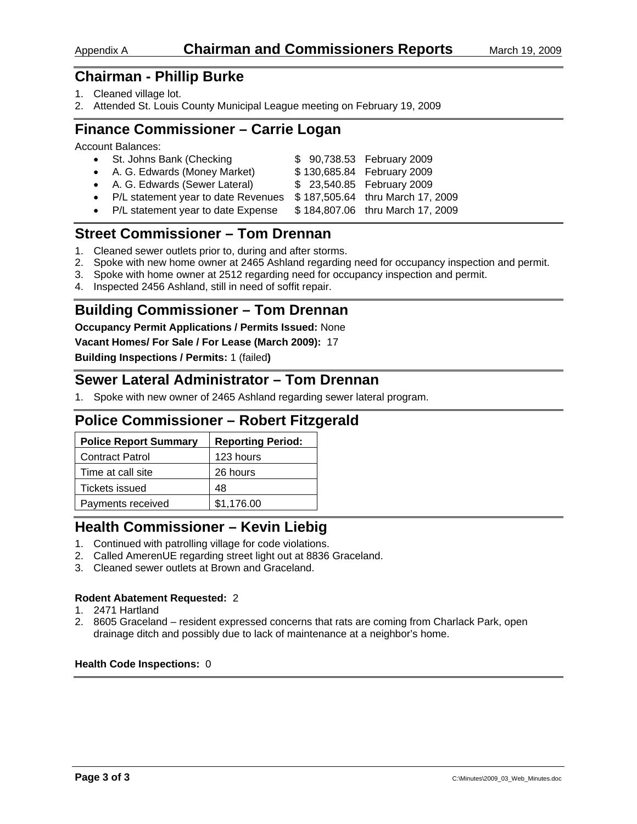## **Chairman - Phillip Burke**

- 1. Cleaned village lot.
- 2. Attended St. Louis County Municipal League meeting on February 19, 2009

## **Finance Commissioner – Carrie Logan**

Account Balances:

| • St. Johns Bank (Checking            | \$ 90,738.53 February 2009       |
|---------------------------------------|----------------------------------|
| • A. G. Edwards (Money Market)        | \$130,685.84 February 2009       |
| • A. G. Edwards (Sewer Lateral)       | \$ 23,540.85 February 2009       |
| • P/L statement year to date Revenues | \$187,505.64 thru March 17, 2009 |
| • D/L statement vear to date Expense  | $0.19190706$ thru Morob 17, 2000 |

• P/L statement year to date Expense  $$184,807.06$  thru March 17, 2009

## **Street Commissioner – Tom Drennan**

- 1. Cleaned sewer outlets prior to, during and after storms.
- 2. Spoke with new home owner at 2465 Ashland regarding need for occupancy inspection and permit.
- 3. Spoke with home owner at 2512 regarding need for occupancy inspection and permit.
- 4. Inspected 2456 Ashland, still in need of soffit repair.

## **Building Commissioner – Tom Drennan**

**Occupancy Permit Applications / Permits Issued:** None

**Vacant Homes/ For Sale / For Lease (March 2009):** 17

**Building Inspections / Permits:** 1 (failed**)** 

## **Sewer Lateral Administrator – Tom Drennan**

1. Spoke with new owner of 2465 Ashland regarding sewer lateral program.

## **Police Commissioner – Robert Fitzgerald**

| <b>Police Report Summary</b> | <b>Reporting Period:</b> |
|------------------------------|--------------------------|
| <b>Contract Patrol</b>       | 123 hours                |
| Time at call site            | 26 hours                 |
| Tickets issued               | 48                       |
| Payments received            | \$1,176.00               |

## **Health Commissioner – Kevin Liebig**

- 1. Continued with patrolling village for code violations.
- 2. Called AmerenUE regarding street light out at 8836 Graceland.
- 3. Cleaned sewer outlets at Brown and Graceland.

#### **Rodent Abatement Requested:** 2

- 1. 2471 Hartland
- 2. 8605 Graceland resident expressed concerns that rats are coming from Charlack Park, open drainage ditch and possibly due to lack of maintenance at a neighbor's home.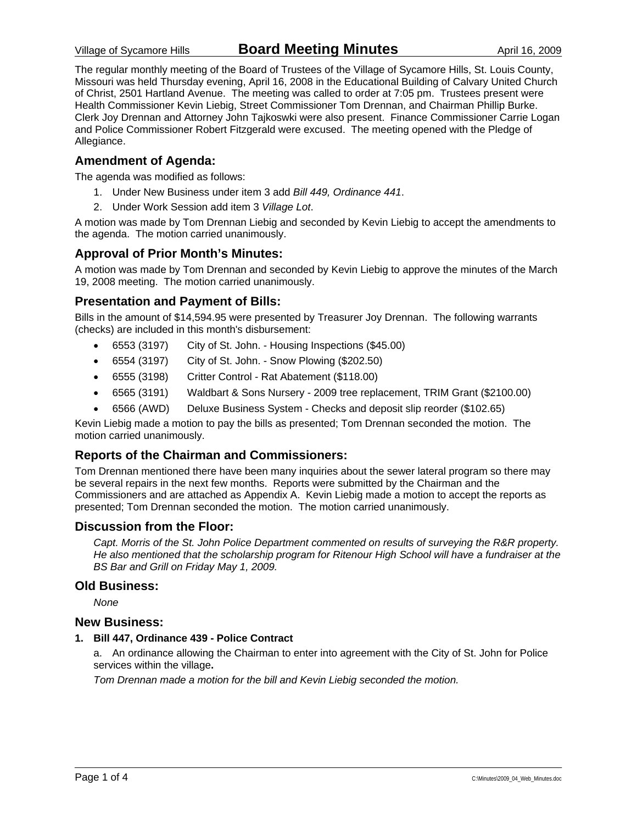The regular monthly meeting of the Board of Trustees of the Village of Sycamore Hills, St. Louis County, Missouri was held Thursday evening, April 16, 2008 in the Educational Building of Calvary United Church of Christ, 2501 Hartland Avenue. The meeting was called to order at 7:05 pm. Trustees present were Health Commissioner Kevin Liebig, Street Commissioner Tom Drennan, and Chairman Phillip Burke. Clerk Joy Drennan and Attorney John Tajkoswki were also present. Finance Commissioner Carrie Logan and Police Commissioner Robert Fitzgerald were excused. The meeting opened with the Pledge of Allegiance.

### **Amendment of Agenda:**

The agenda was modified as follows:

- 1. Under New Business under item 3 add *Bill 449, Ordinance 441*.
- 2. Under Work Session add item 3 *Village Lot*.

A motion was made by Tom Drennan Liebig and seconded by Kevin Liebig to accept the amendments to the agenda. The motion carried unanimously.

### **Approval of Prior Month's Minutes:**

A motion was made by Tom Drennan and seconded by Kevin Liebig to approve the minutes of the March 19, 2008 meeting. The motion carried unanimously.

### **Presentation and Payment of Bills:**

Bills in the amount of \$14,594.95 were presented by Treasurer Joy Drennan. The following warrants (checks) are included in this month's disbursement:

- 6553 (3197) City of St. John. Housing Inspections (\$45.00)
- 6554 (3197) City of St. John. Snow Plowing (\$202.50)
- 6555 (3198) Critter Control Rat Abatement (\$118.00)
- 6565 (3191) Waldbart & Sons Nursery 2009 tree replacement, TRIM Grant (\$2100.00)
- 6566 (AWD) Deluxe Business System Checks and deposit slip reorder (\$102.65)

Kevin Liebig made a motion to pay the bills as presented; Tom Drennan seconded the motion. The motion carried unanimously.

### **Reports of the Chairman and Commissioners:**

Tom Drennan mentioned there have been many inquiries about the sewer lateral program so there may be several repairs in the next few months. Reports were submitted by the Chairman and the Commissioners and are attached as Appendix A. Kevin Liebig made a motion to accept the reports as presented; Tom Drennan seconded the motion. The motion carried unanimously.

#### **Discussion from the Floor:**

*Capt. Morris of the St. John Police Department commented on results of surveying the R&R property. He also mentioned that the scholarship program for Ritenour High School will have a fundraiser at the BS Bar and Grill on Friday May 1, 2009.* 

#### **Old Business:**

*None* 

#### **New Business:**

**1. Bill 447, Ordinance 439 - Police Contract** 

a. An ordinance allowing the Chairman to enter into agreement with the City of St. John for Police services within the village**.** 

*Tom Drennan made a motion for the bill and Kevin Liebig seconded the motion.*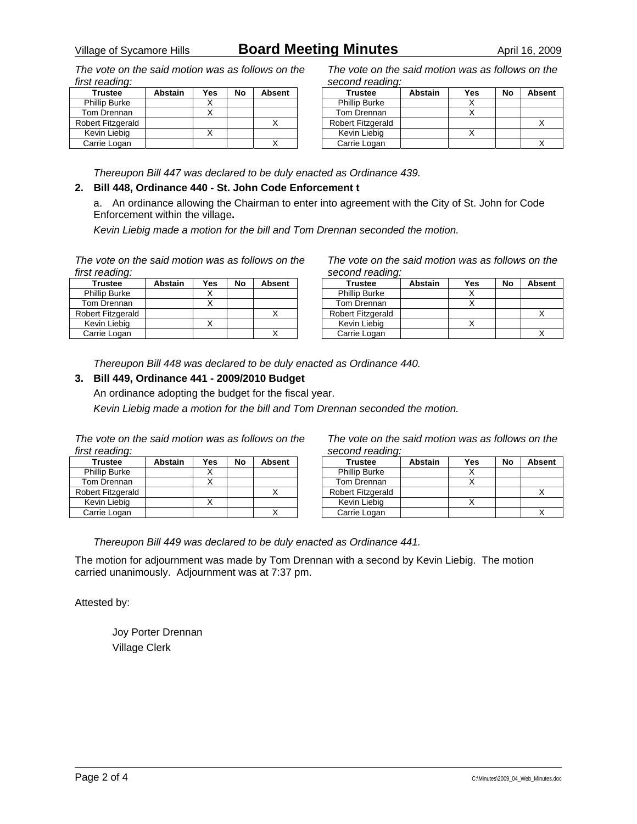## Village of Sycamore Hills **Board Meeting Minutes** April 16, 2009

*The vote on the said motion was as follows on the first reading:* 

| <b>Trustee</b>       | <b>Abstain</b> | Yes | No | <b>Absent</b> |
|----------------------|----------------|-----|----|---------------|
| <b>Phillip Burke</b> |                |     |    |               |
| Tom Drennan          |                |     |    |               |
| Robert Fitzgerald    |                |     |    |               |
| Kevin Liebig         |                |     |    |               |
| Carrie Logan         |                |     |    |               |

*The vote on the said motion was as follows on the second reading:* 

| <b>Trustee</b>           | <b>Abstain</b> | Yes | No | <b>Absent</b> |
|--------------------------|----------------|-----|----|---------------|
| <b>Phillip Burke</b>     |                |     |    |               |
| Tom Drennan              |                |     |    |               |
| <b>Robert Fitzgerald</b> |                |     |    |               |
| Kevin Liebig             |                |     |    |               |
| Carrie Logan             |                |     |    |               |

*Thereupon Bill 447 was declared to be duly enacted as Ordinance 439.* 

#### **2. Bill 448, Ordinance 440 - St. John Code Enforcement t**

a. An ordinance allowing the Chairman to enter into agreement with the City of St. John for Code Enforcement within the village**.** 

*Kevin Liebig made a motion for the bill and Tom Drennan seconded the motion.* 

*The vote on the said motion was as follows on the first reading:* 

| <b>Trustee</b>       | <b>Abstain</b> | Yes | No | <b>Absent</b> |
|----------------------|----------------|-----|----|---------------|
| <b>Phillip Burke</b> |                |     |    |               |
| Tom Drennan          |                |     |    |               |
| Robert Fitzgerald    |                |     |    |               |
| Kevin Liebig         |                |     |    |               |
| Carrie Logan         |                |     |    |               |

*The vote on the said motion was as follows on the second reading:* 

| <b>Trustee</b>       | <b>Abstain</b> | Yes | No | <b>Absent</b> |
|----------------------|----------------|-----|----|---------------|
| <b>Phillip Burke</b> |                |     |    |               |
| Tom Drennan          |                |     |    |               |
| Robert Fitzgerald    |                |     |    |               |
| Kevin Liebig         |                |     |    |               |
| Carrie Logan         |                |     |    |               |

*Thereupon Bill 448 was declared to be duly enacted as Ordinance 440.* 

### **3. Bill 449, Ordinance 441 - 2009/2010 Budget**

An ordinance adopting the budget for the fiscal year. *Kevin Liebig made a motion for the bill and Tom Drennan seconded the motion.* 

| The vote on the said motion was as follows on the |  |  |  |  |
|---------------------------------------------------|--|--|--|--|
| first reading:                                    |  |  |  |  |

| <b>Trustee</b>       | <b>Abstain</b> | Yes | No | <b>Absent</b> |
|----------------------|----------------|-----|----|---------------|
| <b>Phillip Burke</b> |                |     |    |               |
| Tom Drennan          |                |     |    |               |
| Robert Fitzgerald    |                |     |    |               |
| Kevin Liebig         |                |     |    |               |
| Carrie Logan         |                |     |    |               |

*The vote on the said motion was as follows on the second reading:* 

| <b>Trustee</b>           | <b>Abstain</b> | Yes | No | <b>Absent</b> |
|--------------------------|----------------|-----|----|---------------|
| <b>Phillip Burke</b>     |                |     |    |               |
| Tom Drennan              |                |     |    |               |
| <b>Robert Fitzgerald</b> |                |     |    |               |
| Kevin Liebia             |                |     |    |               |
| Carrie Logan             |                |     |    |               |

*Thereupon Bill 449 was declared to be duly enacted as Ordinance 441.* 

The motion for adjournment was made by Tom Drennan with a second by Kevin Liebig. The motion carried unanimously. Adjournment was at 7:37 pm.

Attested by:

 Joy Porter Drennan Village Clerk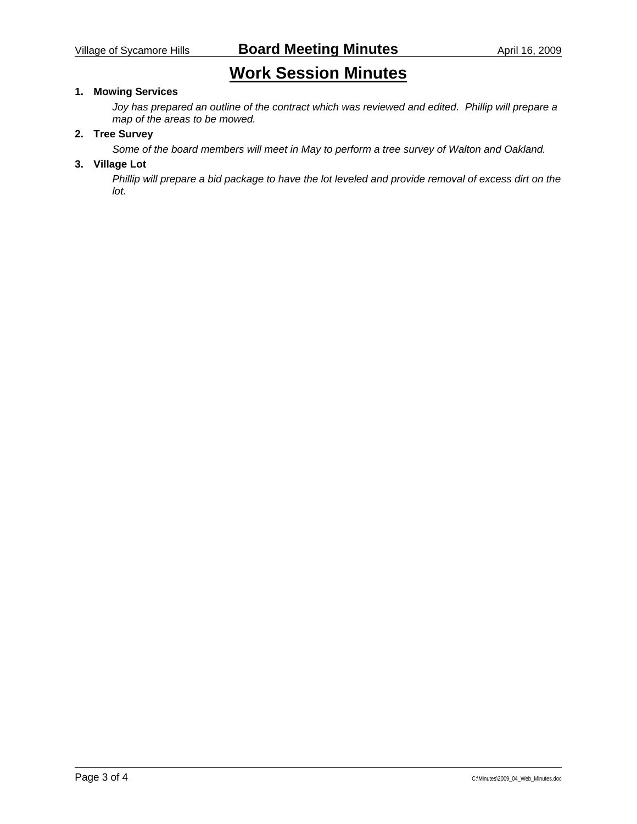# **Work Session Minutes**

### **1. Mowing Services**

*Joy has prepared an outline of the contract which was reviewed and edited. Phillip will prepare a map of the areas to be mowed.* 

### **2. Tree Survey**

*Some of the board members will meet in May to perform a tree survey of Walton and Oakland.* 

### **3. Village Lot**

*Phillip will prepare a bid package to have the lot leveled and provide removal of excess dirt on the lot.*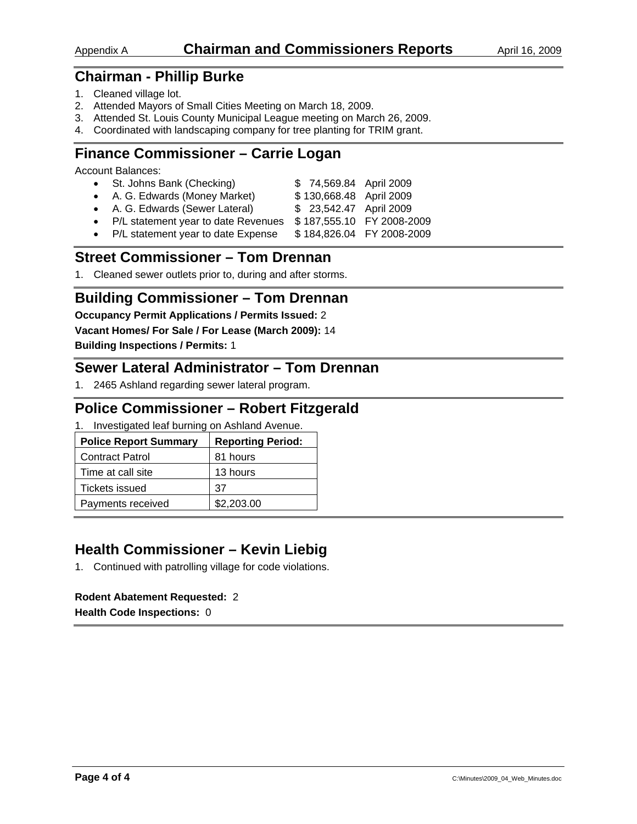## Appendix A **Chairman and Commissioners Reports** April 16, 2009

## **Chairman - Phillip Burke**

- 1. Cleaned village lot.
- 2. Attended Mayors of Small Cities Meeting on March 18, 2009.
- 3. Attended St. Louis County Municipal League meeting on March 26, 2009.
- 4. Coordinated with landscaping company for tree planting for TRIM grant.

## **Finance Commissioner – Carrie Logan**

Account Balances:

| • St. Johns Bank (Checking)           | \$74,569.84 April 2009  |                           |
|---------------------------------------|-------------------------|---------------------------|
| • A. G. Edwards (Money Market)        | \$130,668.48 April 2009 |                           |
| • A. G. Edwards (Sewer Lateral)       | \$ 23,542.47 April 2009 |                           |
| • P/L statement year to date Revenues |                         | \$187,555.10 FY 2008-2009 |
| • P/L statement year to date Expense  |                         | \$184,826.04 FY 2008-2009 |

## **Street Commissioner – Tom Drennan**

1. Cleaned sewer outlets prior to, during and after storms.

## **Building Commissioner – Tom Drennan**

**Occupancy Permit Applications / Permits Issued:** 2

**Vacant Homes/ For Sale / For Lease (March 2009):** 14

**Building Inspections / Permits:** 1

## **Sewer Lateral Administrator – Tom Drennan**

1. 2465 Ashland regarding sewer lateral program.

## **Police Commissioner – Robert Fitzgerald**

1. Investigated leaf burning on Ashland Avenue.

| <b>Police Report Summary</b> | <b>Reporting Period:</b> |
|------------------------------|--------------------------|
| <b>Contract Patrol</b>       | 81 hours                 |
| Time at call site            | 13 hours                 |
| Tickets issued               | 37                       |
| Payments received            | \$2,203.00               |

## **Health Commissioner – Kevin Liebig**

1. Continued with patrolling village for code violations.

### **Rodent Abatement Requested:** 2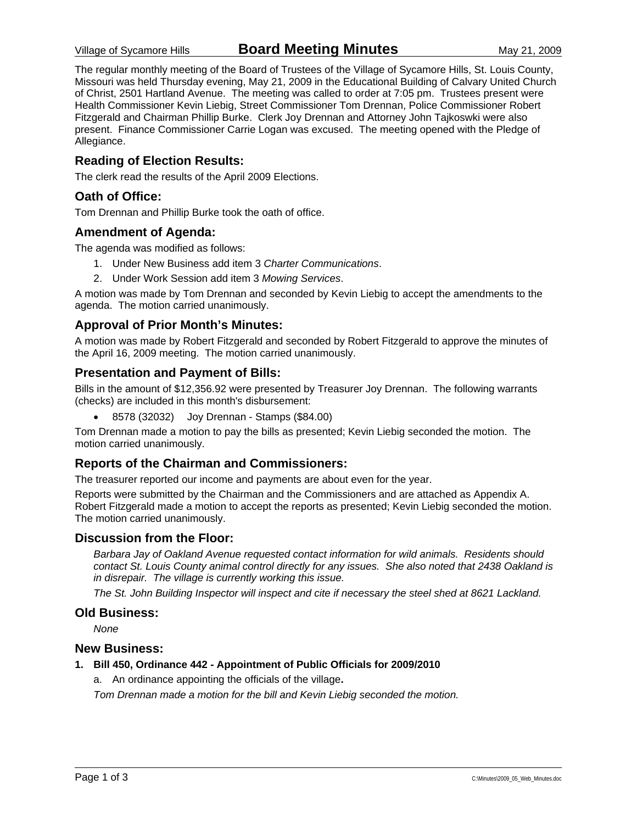The regular monthly meeting of the Board of Trustees of the Village of Sycamore Hills, St. Louis County, Missouri was held Thursday evening, May 21, 2009 in the Educational Building of Calvary United Church of Christ, 2501 Hartland Avenue. The meeting was called to order at 7:05 pm. Trustees present were Health Commissioner Kevin Liebig, Street Commissioner Tom Drennan, Police Commissioner Robert Fitzgerald and Chairman Phillip Burke. Clerk Joy Drennan and Attorney John Tajkoswki were also present. Finance Commissioner Carrie Logan was excused. The meeting opened with the Pledge of Allegiance.

### **Reading of Election Results:**

The clerk read the results of the April 2009 Elections.

### **Oath of Office:**

Tom Drennan and Phillip Burke took the oath of office.

### **Amendment of Agenda:**

The agenda was modified as follows:

- 1. Under New Business add item 3 *Charter Communications*.
- 2. Under Work Session add item 3 *Mowing Services*.

A motion was made by Tom Drennan and seconded by Kevin Liebig to accept the amendments to the agenda. The motion carried unanimously.

### **Approval of Prior Month's Minutes:**

A motion was made by Robert Fitzgerald and seconded by Robert Fitzgerald to approve the minutes of the April 16, 2009 meeting. The motion carried unanimously.

### **Presentation and Payment of Bills:**

Bills in the amount of \$12,356.92 were presented by Treasurer Joy Drennan. The following warrants (checks) are included in this month's disbursement:

• 8578 (32032) Joy Drennan - Stamps (\$84.00)

Tom Drennan made a motion to pay the bills as presented; Kevin Liebig seconded the motion. The motion carried unanimously.

### **Reports of the Chairman and Commissioners:**

The treasurer reported our income and payments are about even for the year.

Reports were submitted by the Chairman and the Commissioners and are attached as Appendix A. Robert Fitzgerald made a motion to accept the reports as presented; Kevin Liebig seconded the motion. The motion carried unanimously.

### **Discussion from the Floor:**

*Barbara Jay of Oakland Avenue requested contact information for wild animals. Residents should contact St. Louis County animal control directly for any issues. She also noted that 2438 Oakland is in disrepair. The village is currently working this issue.* 

*The St. John Building Inspector will inspect and cite if necessary the steel shed at 8621 Lackland.* 

### **Old Business:**

*None* 

#### **New Business:**

#### **1. Bill 450, Ordinance 442 - Appointment of Public Officials for 2009/2010**

a. An ordinance appointing the officials of the village**.** 

*Tom Drennan made a motion for the bill and Kevin Liebig seconded the motion.*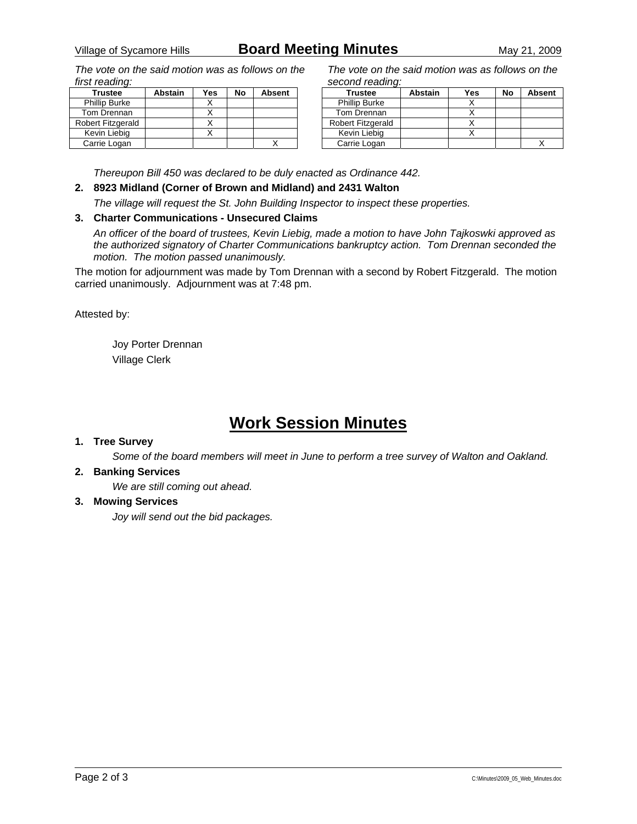*The vote on the said motion was as follows on the first reading:* 

| <b>Trustee</b>       | <b>Abstain</b> | Yes | No | <b>Absent</b> |
|----------------------|----------------|-----|----|---------------|
| <b>Phillip Burke</b> |                |     |    |               |
| Tom Drennan          |                |     |    |               |
| Robert Fitzgerald    |                |     |    |               |
| Kevin Liebig         |                |     |    |               |
| Carrie Logan         |                |     |    |               |

*The vote on the said motion was as follows on the second reading:* 

| <b>Trustee</b>           | <b>Abstain</b> | Yes | No | <b>Absent</b> |
|--------------------------|----------------|-----|----|---------------|
| <b>Phillip Burke</b>     |                |     |    |               |
| Tom Drennan              |                |     |    |               |
| <b>Robert Fitzgerald</b> |                |     |    |               |
| Kevin Liebig             |                |     |    |               |
| Carrie Logan             |                |     |    |               |

*Thereupon Bill 450 was declared to be duly enacted as Ordinance 442.* 

**2. 8923 Midland (Corner of Brown and Midland) and 2431 Walton** 

*The village will request the St. John Building Inspector to inspect these properties.* 

### **3. Charter Communications - Unsecured Claims**

*An officer of the board of trustees, Kevin Liebig, made a motion to have John Tajkoswki approved as the authorized signatory of Charter Communications bankruptcy action. Tom Drennan seconded the motion. The motion passed unanimously.* 

The motion for adjournment was made by Tom Drennan with a second by Robert Fitzgerald. The motion carried unanimously. Adjournment was at 7:48 pm.

Attested by:

 Joy Porter Drennan Village Clerk

# **Work Session Minutes**

#### **1. Tree Survey**

*Some of the board members will meet in June to perform a tree survey of Walton and Oakland.* 

#### **2. Banking Services**

*We are still coming out ahead.* 

#### **3. Mowing Services**

*Joy will send out the bid packages.*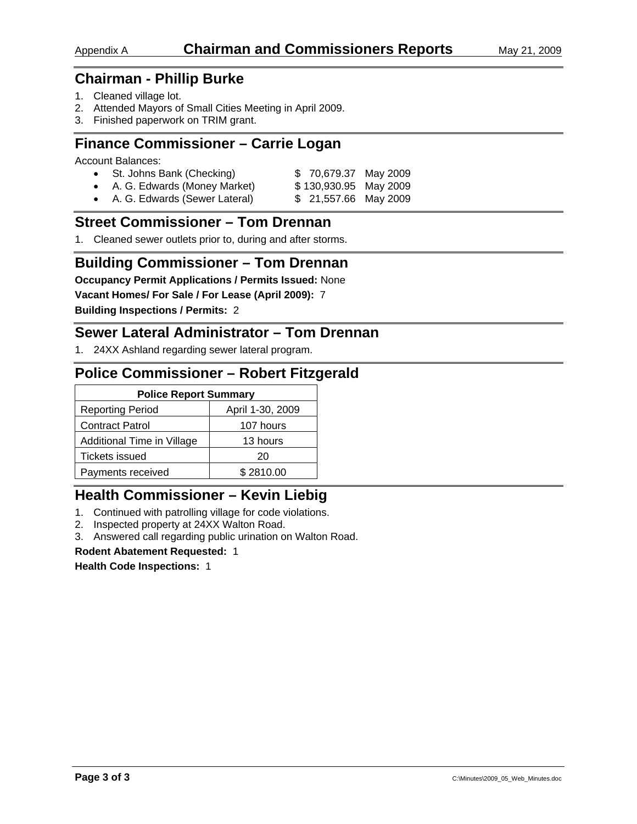## **Chairman - Phillip Burke**

- 1. Cleaned village lot.
- 2. Attended Mayors of Small Cities Meeting in April 2009.
- 3. Finished paperwork on TRIM grant.

## **Finance Commissioner – Carrie Logan**

Account Balances:

| • St. Johns Bank (Checking)     | \$70,679.37 May 2009  |
|---------------------------------|-----------------------|
| • A. G. Edwards (Money Market)  | \$130,930.95 May 2009 |
| • A. G. Edwards (Sewer Lateral) | \$ 21,557.66 May 2009 |

## **Street Commissioner – Tom Drennan**

1. Cleaned sewer outlets prior to, during and after storms.

## **Building Commissioner – Tom Drennan**

**Occupancy Permit Applications / Permits Issued:** None

**Vacant Homes/ For Sale / For Lease (April 2009):** 7

**Building Inspections / Permits:** 2

## **Sewer Lateral Administrator – Tom Drennan**

1. 24XX Ashland regarding sewer lateral program.

## **Police Commissioner – Robert Fitzgerald**

| <b>Police Report Summary</b>                |           |  |
|---------------------------------------------|-----------|--|
| April 1-30, 2009<br><b>Reporting Period</b> |           |  |
| <b>Contract Patrol</b>                      | 107 hours |  |
| Additional Time in Village<br>13 hours      |           |  |
| <b>Tickets issued</b>                       | 20        |  |
| Payments received                           | \$2810.00 |  |

## **Health Commissioner – Kevin Liebig**

- 1. Continued with patrolling village for code violations.
- 2. Inspected property at 24XX Walton Road.
- 3. Answered call regarding public urination on Walton Road.

#### **Rodent Abatement Requested:** 1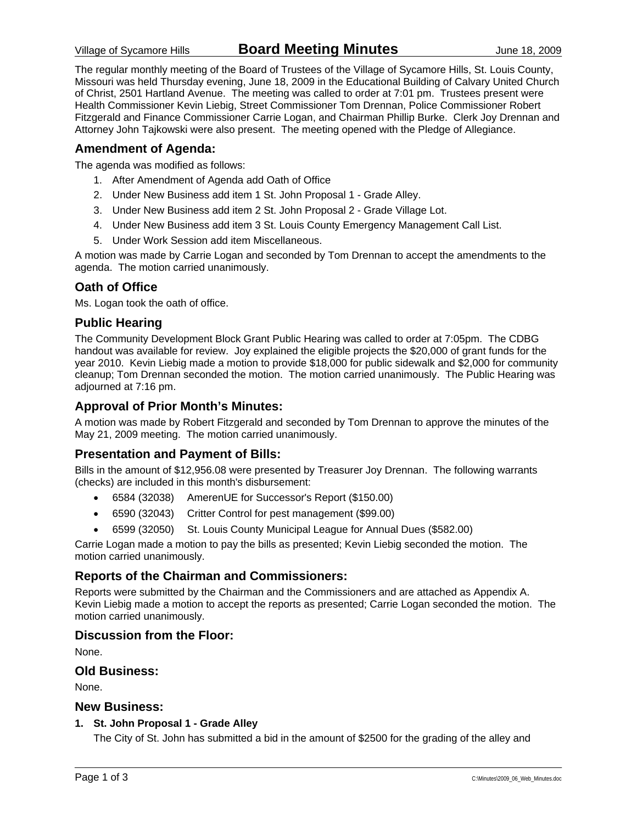The regular monthly meeting of the Board of Trustees of the Village of Sycamore Hills, St. Louis County, Missouri was held Thursday evening, June 18, 2009 in the Educational Building of Calvary United Church of Christ, 2501 Hartland Avenue. The meeting was called to order at 7:01 pm. Trustees present were Health Commissioner Kevin Liebig, Street Commissioner Tom Drennan, Police Commissioner Robert Fitzgerald and Finance Commissioner Carrie Logan, and Chairman Phillip Burke. Clerk Joy Drennan and Attorney John Tajkowski were also present. The meeting opened with the Pledge of Allegiance.

### **Amendment of Agenda:**

The agenda was modified as follows:

- 1. After Amendment of Agenda add Oath of Office
- 2. Under New Business add item 1 St. John Proposal 1 Grade Alley.
- 3. Under New Business add item 2 St. John Proposal 2 Grade Village Lot.
- 4. Under New Business add item 3 St. Louis County Emergency Management Call List.
- 5. Under Work Session add item Miscellaneous.

A motion was made by Carrie Logan and seconded by Tom Drennan to accept the amendments to the agenda. The motion carried unanimously.

### **Oath of Office**

Ms. Logan took the oath of office.

### **Public Hearing**

The Community Development Block Grant Public Hearing was called to order at 7:05pm. The CDBG handout was available for review. Joy explained the eligible projects the \$20,000 of grant funds for the year 2010. Kevin Liebig made a motion to provide \$18,000 for public sidewalk and \$2,000 for community cleanup; Tom Drennan seconded the motion. The motion carried unanimously. The Public Hearing was adjourned at 7:16 pm.

### **Approval of Prior Month's Minutes:**

A motion was made by Robert Fitzgerald and seconded by Tom Drennan to approve the minutes of the May 21, 2009 meeting. The motion carried unanimously.

### **Presentation and Payment of Bills:**

Bills in the amount of \$12,956.08 were presented by Treasurer Joy Drennan. The following warrants (checks) are included in this month's disbursement:

- 6584 (32038) AmerenUE for Successor's Report (\$150.00)
- 6590 (32043) Critter Control for pest management (\$99.00)
- 6599 (32050) St. Louis County Municipal League for Annual Dues (\$582.00)

Carrie Logan made a motion to pay the bills as presented; Kevin Liebig seconded the motion. The motion carried unanimously.

### **Reports of the Chairman and Commissioners:**

Reports were submitted by the Chairman and the Commissioners and are attached as Appendix A. Kevin Liebig made a motion to accept the reports as presented; Carrie Logan seconded the motion. The motion carried unanimously.

### **Discussion from the Floor:**

None.

### **Old Business:**

None.

#### **New Business:**

#### **1. St. John Proposal 1 - Grade Alley**

The City of St. John has submitted a bid in the amount of \$2500 for the grading of the alley and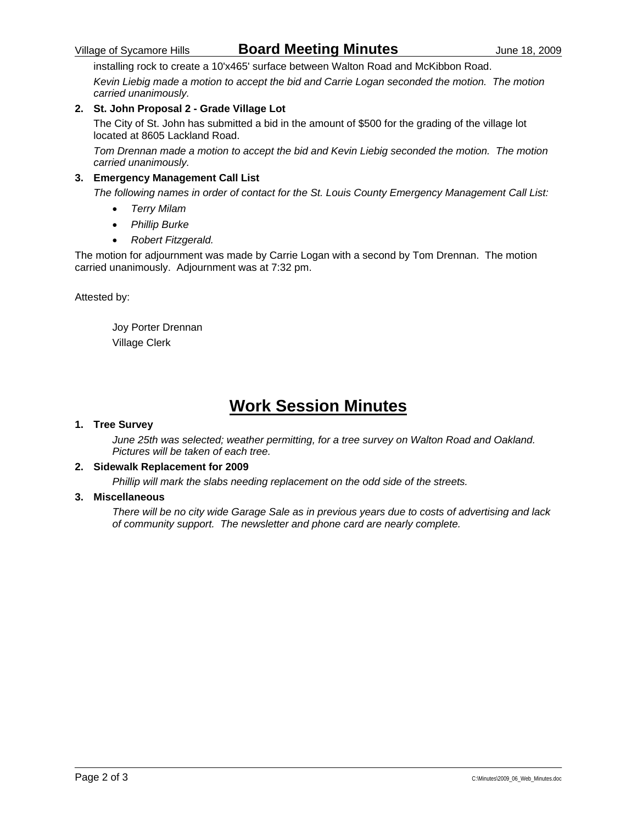## Village of Sycamore Hills **Board Meeting Minutes** June 18, 2009

installing rock to create a 10'x465' surface between Walton Road and McKibbon Road.

*Kevin Liebig made a motion to accept the bid and Carrie Logan seconded the motion. The motion carried unanimously.* 

### **2. St. John Proposal 2 - Grade Village Lot**

The City of St. John has submitted a bid in the amount of \$500 for the grading of the village lot located at 8605 Lackland Road.

*Tom Drennan made a motion to accept the bid and Kevin Liebig seconded the motion. The motion carried unanimously.* 

#### **3. Emergency Management Call List**

*The following names in order of contact for the St. Louis County Emergency Management Call List:* 

- *Terry Milam*
- *Phillip Burke*
- *Robert Fitzgerald.*

The motion for adjournment was made by Carrie Logan with a second by Tom Drennan. The motion carried unanimously. Adjournment was at 7:32 pm.

Attested by:

 Joy Porter Drennan Village Clerk

# **Work Session Minutes**

#### **1. Tree Survey**

*June 25th was selected; weather permitting, for a tree survey on Walton Road and Oakland. Pictures will be taken of each tree.* 

#### **2. Sidewalk Replacement for 2009**

*Phillip will mark the slabs needing replacement on the odd side of the streets.* 

#### **3. Miscellaneous**

*There will be no city wide Garage Sale as in previous years due to costs of advertising and lack of community support. The newsletter and phone card are nearly complete.*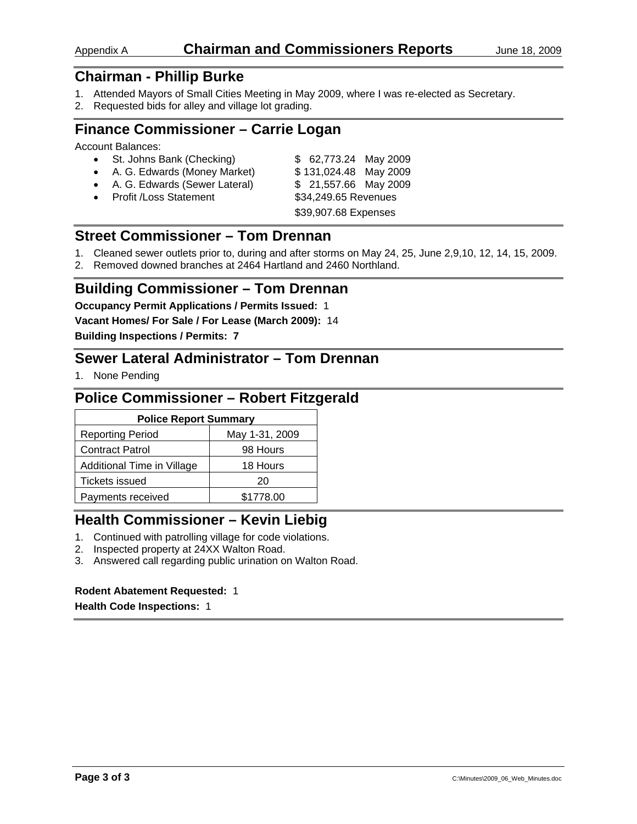## Appendix A **Chairman and Commissioners Reports** June 18, 2009

# **Chairman - Phillip Burke**

- 1. Attended Mayors of Small Cities Meeting in May 2009, where I was re-elected as Secretary.
- 2. Requested bids for alley and village lot grading.

## **Finance Commissioner – Carrie Logan**

Account Balances:

| • St. Johns Bank (Checking)     | \$ 62,773.24 May 2009 |
|---------------------------------|-----------------------|
| • A. G. Edwards (Money Market)  | \$131,024.48 May 2009 |
| • A. G. Edwards (Sewer Lateral) | \$ 21,557.66 May 2009 |
| • Profit / Loss Statement       | \$34,249.65 Revenues  |
|                                 | \$39,907.68 Expenses  |

## **Street Commissioner – Tom Drennan**

- 1. Cleaned sewer outlets prior to, during and after storms on May 24, 25, June 2,9,10, 12, 14, 15, 2009.
- 2. Removed downed branches at 2464 Hartland and 2460 Northland.

### **Building Commissioner – Tom Drennan**

**Occupancy Permit Applications / Permits Issued:** 1

**Vacant Homes/ For Sale / For Lease (March 2009):** 14

**Building Inspections / Permits: 7** 

## **Sewer Lateral Administrator – Tom Drennan**

1. None Pending

## **Police Commissioner – Robert Fitzgerald**

| <b>Police Report Summary</b> |                |  |
|------------------------------|----------------|--|
| <b>Reporting Period</b>      | May 1-31, 2009 |  |
| <b>Contract Patrol</b>       | 98 Hours       |  |
| Additional Time in Village   | 18 Hours       |  |
| Tickets issued               | 20             |  |
| Payments received            | \$1778.00      |  |

## **Health Commissioner – Kevin Liebig**

- 1. Continued with patrolling village for code violations.
- 2. Inspected property at 24XX Walton Road.
- 3. Answered call regarding public urination on Walton Road.

#### **Rodent Abatement Requested:** 1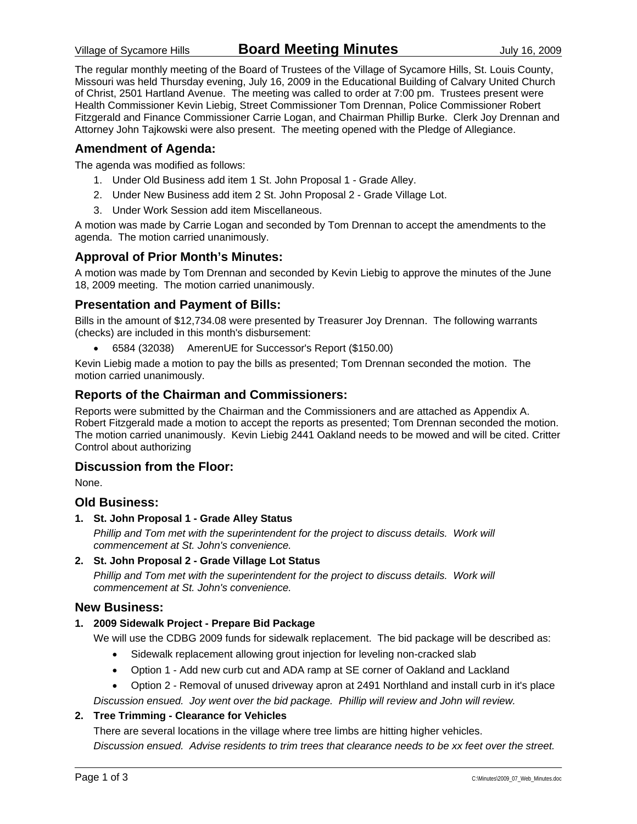The regular monthly meeting of the Board of Trustees of the Village of Sycamore Hills, St. Louis County, Missouri was held Thursday evening, July 16, 2009 in the Educational Building of Calvary United Church of Christ, 2501 Hartland Avenue. The meeting was called to order at 7:00 pm. Trustees present were Health Commissioner Kevin Liebig, Street Commissioner Tom Drennan, Police Commissioner Robert Fitzgerald and Finance Commissioner Carrie Logan, and Chairman Phillip Burke. Clerk Joy Drennan and Attorney John Tajkowski were also present. The meeting opened with the Pledge of Allegiance.

### **Amendment of Agenda:**

The agenda was modified as follows:

- 1. Under Old Business add item 1 St. John Proposal 1 Grade Alley.
- 2. Under New Business add item 2 St. John Proposal 2 Grade Village Lot.
- 3. Under Work Session add item Miscellaneous.

A motion was made by Carrie Logan and seconded by Tom Drennan to accept the amendments to the agenda. The motion carried unanimously.

### **Approval of Prior Month's Minutes:**

A motion was made by Tom Drennan and seconded by Kevin Liebig to approve the minutes of the June 18, 2009 meeting. The motion carried unanimously.

### **Presentation and Payment of Bills:**

Bills in the amount of \$12,734.08 were presented by Treasurer Joy Drennan. The following warrants (checks) are included in this month's disbursement:

• 6584 (32038) AmerenUE for Successor's Report (\$150.00)

Kevin Liebig made a motion to pay the bills as presented; Tom Drennan seconded the motion. The motion carried unanimously.

### **Reports of the Chairman and Commissioners:**

Reports were submitted by the Chairman and the Commissioners and are attached as Appendix A. Robert Fitzgerald made a motion to accept the reports as presented; Tom Drennan seconded the motion. The motion carried unanimously. Kevin Liebig 2441 Oakland needs to be mowed and will be cited. Critter Control about authorizing

### **Discussion from the Floor:**

None.

#### **Old Business:**

**1. St. John Proposal 1 - Grade Alley Status** 

Phillip and Tom met with the superintendent for the project to discuss details. Work will *commencement at St. John's convenience.* 

**2. St. John Proposal 2 - Grade Village Lot Status** 

Phillip and Tom met with the superintendent for the project to discuss details. Work will *commencement at St. John's convenience.* 

#### **New Business:**

#### **1. 2009 Sidewalk Project - Prepare Bid Package**

We will use the CDBG 2009 funds for sidewalk replacement. The bid package will be described as:

- Sidewalk replacement allowing grout injection for leveling non-cracked slab
- Option 1 Add new curb cut and ADA ramp at SE corner of Oakland and Lackland
- Option 2 Removal of unused driveway apron at 2491 Northland and install curb in it's place

*Discussion ensued. Joy went over the bid package. Phillip will review and John will review.* 

#### **2. Tree Trimming - Clearance for Vehicles**

There are several locations in the village where tree limbs are hitting higher vehicles.

*Discussion ensued. Advise residents to trim trees that clearance needs to be xx feet over the street.*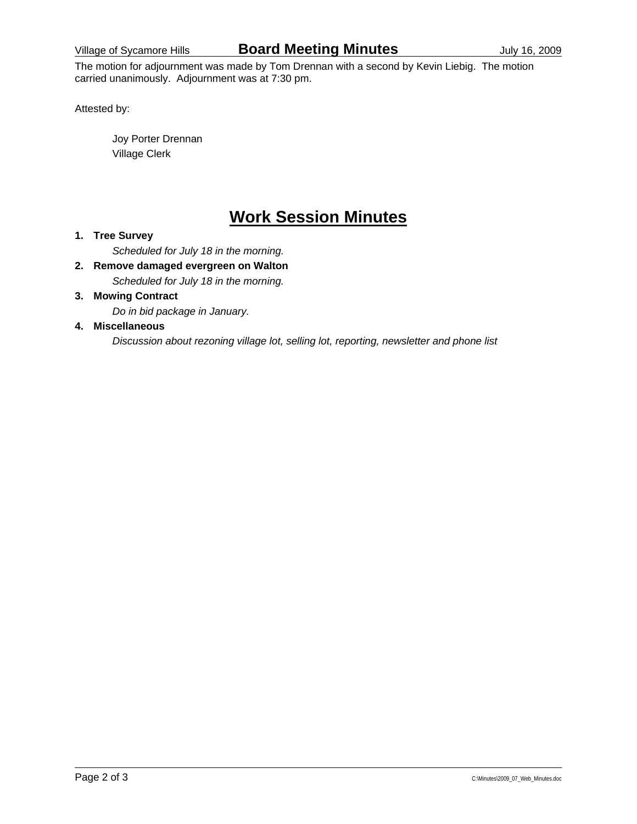The motion for adjournment was made by Tom Drennan with a second by Kevin Liebig. The motion carried unanimously. Adjournment was at 7:30 pm.

Attested by:

 Joy Porter Drennan Village Clerk

# **Work Session Minutes**

#### **1. Tree Survey**

*Scheduled for July 18 in the morning.* 

**2. Remove damaged evergreen on Walton** 

*Scheduled for July 18 in the morning.* 

### **3. Mowing Contract**

*Do in bid package in January.* 

#### **4. Miscellaneous**

*Discussion about rezoning village lot, selling lot, reporting, newsletter and phone list*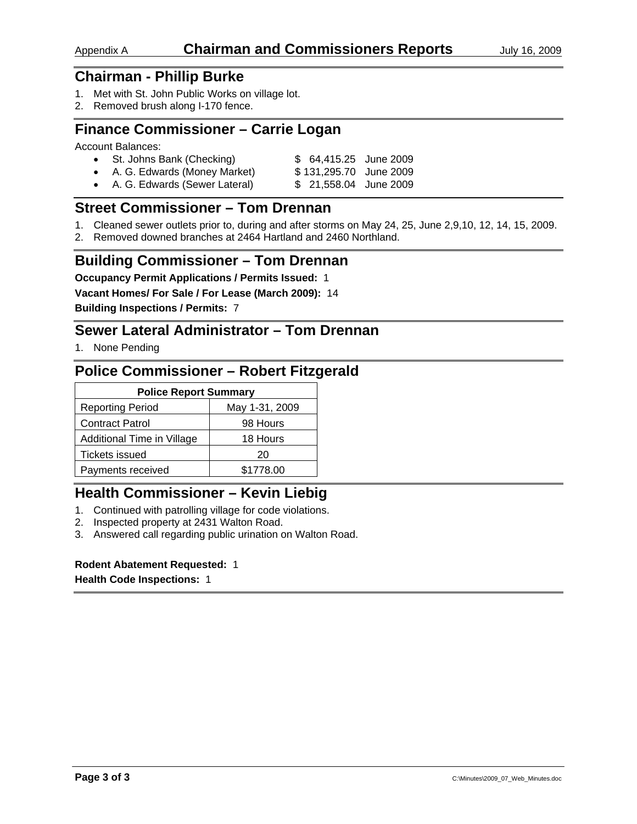## **Chairman - Phillip Burke**

- 1. Met with St. John Public Works on village lot.
- 2. Removed brush along I-170 fence.

## **Finance Commissioner – Carrie Logan**

Account Balances:

|  | St. Johns Bank (Checking) | \$ 64,415.25 June 2009 |
|--|---------------------------|------------------------|
|--|---------------------------|------------------------|

- A. G. Edwards (Money Market) \$131,295.70 June 2009
- A. G. Edwards (Sewer Lateral) \$ 21,558.04 June 2009

## **Street Commissioner – Tom Drennan**

- 1. Cleaned sewer outlets prior to, during and after storms on May 24, 25, June 2,9,10, 12, 14, 15, 2009.
- 2. Removed downed branches at 2464 Hartland and 2460 Northland.

## **Building Commissioner – Tom Drennan**

**Occupancy Permit Applications / Permits Issued:** 1

**Vacant Homes/ For Sale / For Lease (March 2009):** 14

**Building Inspections / Permits:** 7

## **Sewer Lateral Administrator – Tom Drennan**

1. None Pending

## **Police Commissioner – Robert Fitzgerald**

| <b>Police Report Summary</b>              |           |  |
|-------------------------------------------|-----------|--|
| <b>Reporting Period</b><br>May 1-31, 2009 |           |  |
| <b>Contract Patrol</b>                    | 98 Hours  |  |
| Additional Time in Village<br>18 Hours    |           |  |
| Tickets issued                            | 20        |  |
| Payments received                         | \$1778.00 |  |

## **Health Commissioner – Kevin Liebig**

- 1. Continued with patrolling village for code violations.
- 2. Inspected property at 2431 Walton Road.
- 3. Answered call regarding public urination on Walton Road.

### **Rodent Abatement Requested:** 1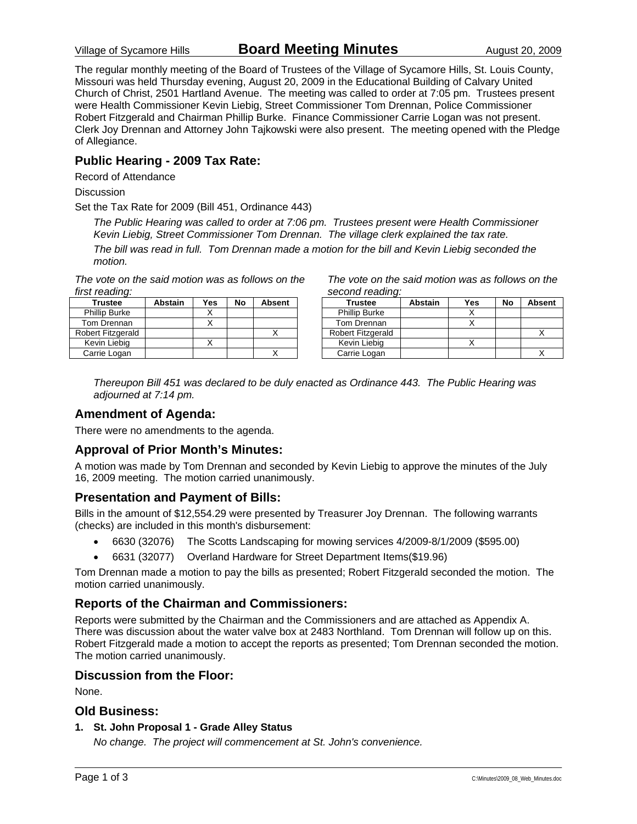Village of Sycamore Hills **Board Meeting Minutes** August 20, 2009

The regular monthly meeting of the Board of Trustees of the Village of Sycamore Hills, St. Louis County, Missouri was held Thursday evening, August 20, 2009 in the Educational Building of Calvary United Church of Christ, 2501 Hartland Avenue. The meeting was called to order at 7:05 pm. Trustees present were Health Commissioner Kevin Liebig, Street Commissioner Tom Drennan, Police Commissioner Robert Fitzgerald and Chairman Phillip Burke. Finance Commissioner Carrie Logan was not present. Clerk Joy Drennan and Attorney John Tajkowski were also present. The meeting opened with the Pledge of Allegiance.

### **Public Hearing - 2009 Tax Rate:**

Record of Attendance

**Discussion** 

Set the Tax Rate for 2009 (Bill 451, Ordinance 443)

*The Public Hearing was called to order at 7:06 pm. Trustees present were Health Commissioner Kevin Liebig, Street Commissioner Tom Drennan. The village clerk explained the tax rate.* 

*The bill was read in full. Tom Drennan made a motion for the bill and Kevin Liebig seconded the motion.* 

*The vote on the said motion was as follows on the first reading:* 

| Trustee              | <b>Abstain</b> | Yes | No | <b>Absent</b> |
|----------------------|----------------|-----|----|---------------|
| <b>Phillip Burke</b> |                |     |    |               |
| Tom Drennan          |                |     |    |               |
| Robert Fitzgerald    |                |     |    |               |
| Kevin Liebia         |                |     |    |               |
| Carrie Logan         |                |     |    |               |

*The vote on the said motion was as follows on the second reading:* 

| Trustee                  | Abstain | Yes | No | <b>Absent</b> |
|--------------------------|---------|-----|----|---------------|
| <b>Phillip Burke</b>     |         |     |    |               |
| Tom Drennan              |         |     |    |               |
| <b>Robert Fitzgerald</b> |         |     |    |               |
| Kevin Liebig             |         |     |    |               |
| Carrie Logan             |         |     |    |               |

*Thereupon Bill 451 was declared to be duly enacted as Ordinance 443. The Public Hearing was adjourned at 7:14 pm.* 

### **Amendment of Agenda:**

There were no amendments to the agenda.

### **Approval of Prior Month's Minutes:**

A motion was made by Tom Drennan and seconded by Kevin Liebig to approve the minutes of the July 16, 2009 meeting. The motion carried unanimously.

### **Presentation and Payment of Bills:**

Bills in the amount of \$12,554.29 were presented by Treasurer Joy Drennan. The following warrants (checks) are included in this month's disbursement:

- 6630 (32076) The Scotts Landscaping for mowing services 4/2009-8/1/2009 (\$595.00)
- 6631 (32077) Overland Hardware for Street Department Items(\$19.96)

Tom Drennan made a motion to pay the bills as presented; Robert Fitzgerald seconded the motion. The motion carried unanimously.

### **Reports of the Chairman and Commissioners:**

Reports were submitted by the Chairman and the Commissioners and are attached as Appendix A. There was discussion about the water valve box at 2483 Northland. Tom Drennan will follow up on this. Robert Fitzgerald made a motion to accept the reports as presented; Tom Drennan seconded the motion. The motion carried unanimously.

### **Discussion from the Floor:**

None.

### **Old Business:**

**1. St. John Proposal 1 - Grade Alley Status** 

*No change. The project will commencement at St. John's convenience.*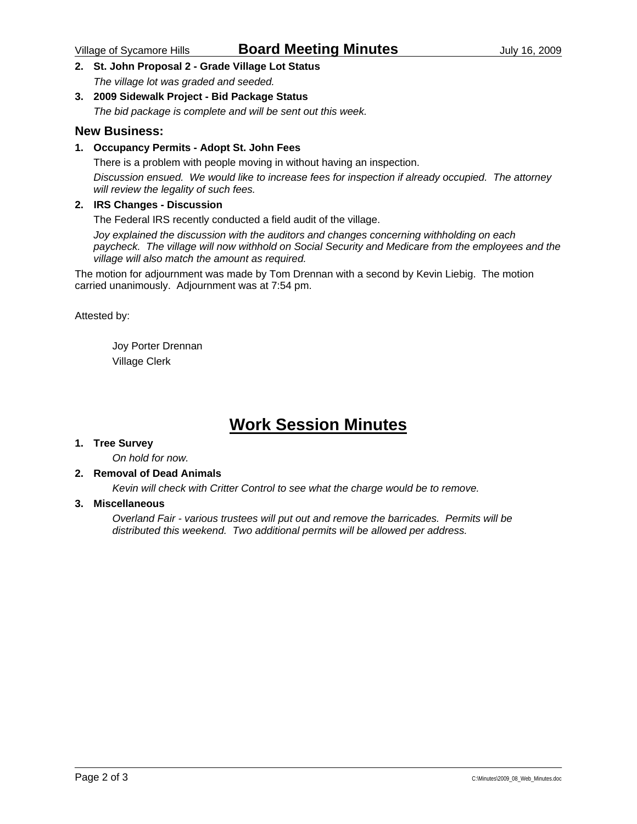**2. St. John Proposal 2 - Grade Village Lot Status** 

*The village lot was graded and seeded.* 

#### **3. 2009 Sidewalk Project - Bid Package Status**

*The bid package is complete and will be sent out this week.* 

#### **New Business:**

#### **1. Occupancy Permits - Adopt St. John Fees**

There is a problem with people moving in without having an inspection. *Discussion ensued. We would like to increase fees for inspection if already occupied. The attorney will review the legality of such fees.* 

#### **2. IRS Changes - Discussion**

The Federal IRS recently conducted a field audit of the village.

*Joy explained the discussion with the auditors and changes concerning withholding on each paycheck. The village will now withhold on Social Security and Medicare from the employees and the village will also match the amount as required.* 

The motion for adjournment was made by Tom Drennan with a second by Kevin Liebig. The motion carried unanimously. Adjournment was at 7:54 pm.

Attested by:

 Joy Porter Drennan Village Clerk

# **Work Session Minutes**

#### **1. Tree Survey**

*On hold for now.* 

#### **2. Removal of Dead Animals**

*Kevin will check with Critter Control to see what the charge would be to remove.* 

#### **3. Miscellaneous**

*Overland Fair - various trustees will put out and remove the barricades. Permits will be distributed this weekend. Two additional permits will be allowed per address.*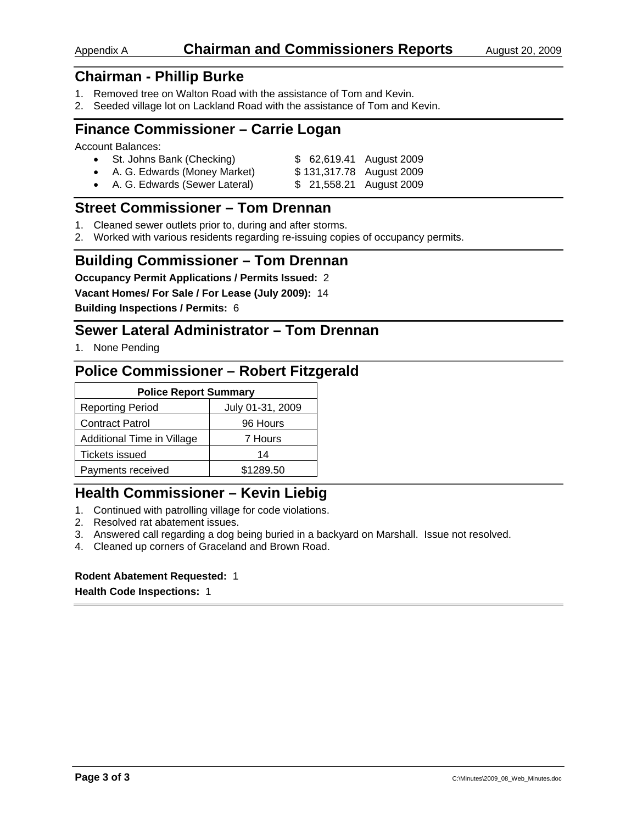### Appendix A **Chairman and Commissioners Reports** August 20, 2009

## **Chairman - Phillip Burke**

- 1. Removed tree on Walton Road with the assistance of Tom and Kevin.
- 2. Seeded village lot on Lackland Road with the assistance of Tom and Kevin.

## **Finance Commissioner – Carrie Logan**

Account Balances:

| • St. Johns Bank (Checking) | \$ 62,619.41 August 2009 |
|-----------------------------|--------------------------|
| .                           |                          |

- A. G. Edwards (Money Market) \$ 131,317.78 August 2009
- A. G. Edwards (Sewer Lateral) \$ 21,558.21 August 2009

## **Street Commissioner – Tom Drennan**

- 1. Cleaned sewer outlets prior to, during and after storms.
- 2. Worked with various residents regarding re-issuing copies of occupancy permits.

### **Building Commissioner – Tom Drennan**

**Occupancy Permit Applications / Permits Issued:** 2

**Vacant Homes/ For Sale / For Lease (July 2009):** 14

**Building Inspections / Permits:** 6

## **Sewer Lateral Administrator – Tom Drennan**

1. None Pending

### **Police Commissioner – Robert Fitzgerald**

| <b>Police Report Summary</b>          |                  |  |  |
|---------------------------------------|------------------|--|--|
| <b>Reporting Period</b>               | July 01-31, 2009 |  |  |
| <b>Contract Patrol</b>                | 96 Hours         |  |  |
| Additional Time in Village<br>7 Hours |                  |  |  |
| Tickets issued                        | 14               |  |  |
| Payments received                     | \$1289.50        |  |  |

## **Health Commissioner – Kevin Liebig**

- 1. Continued with patrolling village for code violations.
- 2. Resolved rat abatement issues.
- 3. Answered call regarding a dog being buried in a backyard on Marshall. Issue not resolved.
- 4. Cleaned up corners of Graceland and Brown Road.

#### **Rodent Abatement Requested:** 1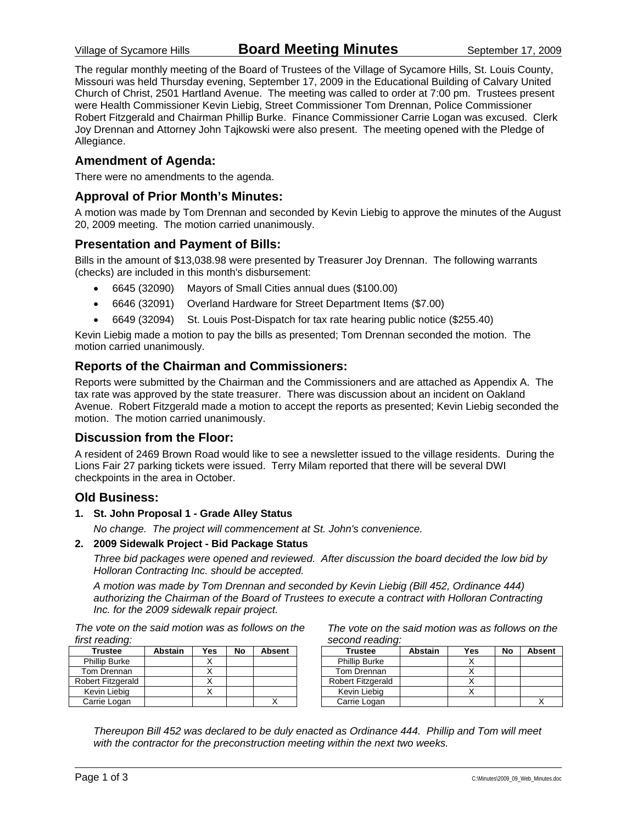The regular monthly meeting of the Board of Trustees of the Village of Sycamore Hills, St. Louis County, Missouri was held Thursday evening, September 17, 2009 in the Educational Building of Calvary United Church of Christ, 2501 Hartland Avenue. The meeting was called to order at 7:00 pm. Trustees present were Health Commissioner Kevin Liebig, Street Commissioner Tom Drennan, Police Commissioner Robert Fitzgerald and Chairman Phillip Burke. Finance Commissioner Carrie Logan was excused. Clerk Joy Drennan and Attorney John Tajkowski were also present. The meeting opened with the Pledge of Allegiance.

### **Amendment of Agenda:**

There were no amendments to the agenda.

### **Approval of Prior Month's Minutes:**

A motion was made by Tom Drennan and seconded by Kevin Liebig to approve the minutes of the August 20, 2009 meeting. The motion carried unanimously.

### **Presentation and Payment of Bills:**

Bills in the amount of \$13,038.98 were presented by Treasurer Joy Drennan. The following warrants (checks) are included in this month's disbursement:

- 6645 (32090) Mayors of Small Cities annual dues (\$100.00)
- 6646 (32091) Overland Hardware for Street Department Items (\$7.00)
- 6649 (32094) St. Louis Post-Dispatch for tax rate hearing public notice (\$255.40)

Kevin Liebig made a motion to pay the bills as presented; Tom Drennan seconded the motion. The motion carried unanimously.

### **Reports of the Chairman and Commissioners:**

Reports were submitted by the Chairman and the Commissioners and are attached as Appendix A. The tax rate was approved by the state treasurer. There was discussion about an incident on Oakland Avenue. Robert Fitzgerald made a motion to accept the reports as presented; Kevin Liebig seconded the motion. The motion carried unanimously.

### **Discussion from the Floor:**

A resident of 2469 Brown Road would like to see a newsletter issued to the village residents. During the Lions Fair 27 parking tickets were issued. Terry Milam reported that there will be several DWI checkpoints in the area in October.

#### **Old Business:**

#### **1. St. John Proposal 1 - Grade Alley Status**

*No change. The project will commencement at St. John's convenience.* 

#### **2. 2009 Sidewalk Project - Bid Package Status**

*Three bid packages were opened and reviewed. After discussion the board decided the low bid by Holloran Contracting Inc. should be accepted.* 

*A motion was made by Tom Drennan and seconded by Kevin Liebig (Bill 452, Ordinance 444) authorizing the Chairman of the Board of Trustees to execute a contract with Holloran Contracting Inc. for the 2009 sidewalk repair project.* 

*The vote on the said motion was as follows on the first reading:* 

| <b>Trustee</b>       | <b>Abstain</b> | Yes | No | <b>Absent</b> |
|----------------------|----------------|-----|----|---------------|
| <b>Phillip Burke</b> |                |     |    |               |
| Tom Drennan          |                |     |    |               |
| Robert Fitzgerald    |                |     |    |               |
| Kevin Liebig         |                |     |    |               |
| Carrie Logan         |                |     |    |               |

*The vote on the said motion was as follows on the second reading:* 

| <b>Trustee</b>       | <b>Abstain</b> | Yes | No | <b>Absent</b> |
|----------------------|----------------|-----|----|---------------|
| <b>Phillip Burke</b> |                |     |    |               |
| Tom Drennan          |                |     |    |               |
| Robert Fitzgerald    |                |     |    |               |
| Kevin Liebig         |                |     |    |               |
| Carrie Logan         |                |     |    |               |

*Thereupon Bill 452 was declared to be duly enacted as Ordinance 444. Phillip and Tom will meet*  with the contractor for the preconstruction meeting within the next two weeks.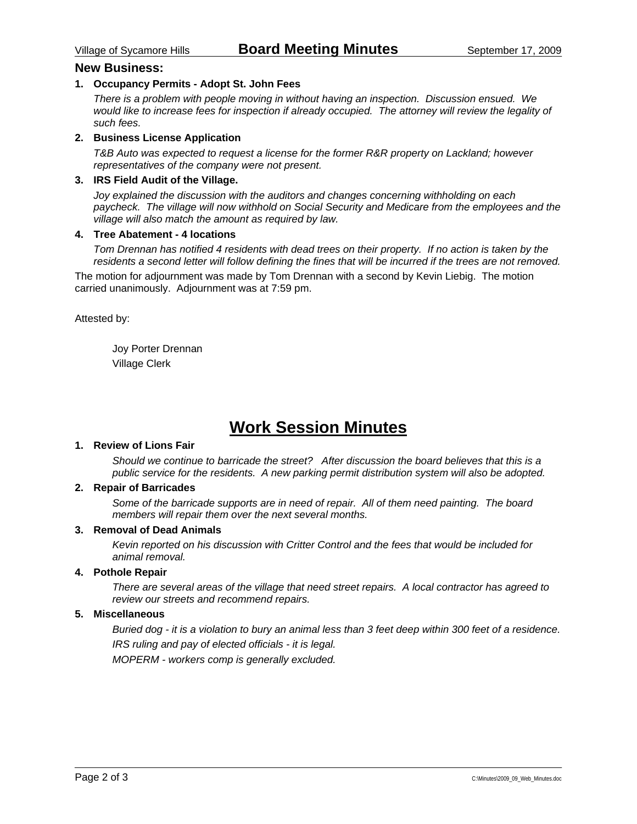#### **New Business:**

#### **1. Occupancy Permits - Adopt St. John Fees**

*There is a problem with people moving in without having an inspection. Discussion ensued. We would like to increase fees for inspection if already occupied. The attorney will review the legality of such fees.* 

#### **2. Business License Application**

*T&B Auto was expected to request a license for the former R&R property on Lackland; however representatives of the company were not present.* 

#### **3. IRS Field Audit of the Village.**

*Joy explained the discussion with the auditors and changes concerning withholding on each paycheck. The village will now withhold on Social Security and Medicare from the employees and the village will also match the amount as required by law.* 

#### **4. Tree Abatement - 4 locations**

*Tom Drennan has notified 4 residents with dead trees on their property. If no action is taken by the residents a second letter will follow defining the fines that will be incurred if the trees are not removed.* 

The motion for adjournment was made by Tom Drennan with a second by Kevin Liebig. The motion carried unanimously. Adjournment was at 7:59 pm.

Attested by:

 Joy Porter Drennan Village Clerk

# **Work Session Minutes**

### **1. Review of Lions Fair**

*Should we continue to barricade the street? After discussion the board believes that this is a public service for the residents. A new parking permit distribution system will also be adopted.* 

#### **2. Repair of Barricades**

*Some of the barricade supports are in need of repair. All of them need painting. The board members will repair them over the next several months.* 

#### **3. Removal of Dead Animals**

*Kevin reported on his discussion with Critter Control and the fees that would be included for animal removal.* 

#### **4. Pothole Repair**

*There are several areas of the village that need street repairs. A local contractor has agreed to review our streets and recommend repairs.* 

#### **5. Miscellaneous**

*Buried dog - it is a violation to bury an animal less than 3 feet deep within 300 feet of a residence. IRS ruling and pay of elected officials - it is legal.* 

*MOPERM - workers comp is generally excluded.*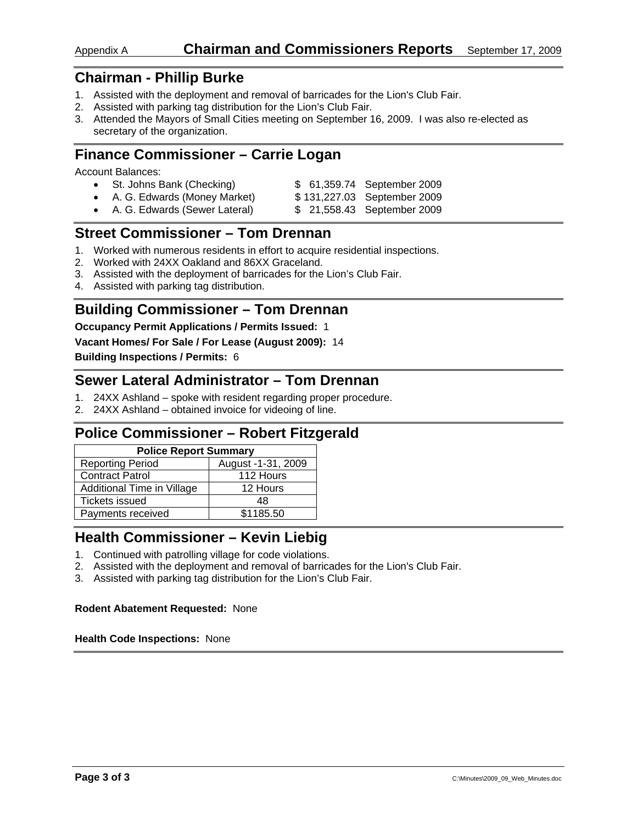## Appendix A **Chairman and Commissioners Reports** September 17, 2009

## **Chairman - Phillip Burke**

- 1. Assisted with the deployment and removal of barricades for the Lion's Club Fair.
- 2. Assisted with parking tag distribution for the Lion's Club Fair.
- 3. Attended the Mayors of Small Cities meeting on September 16, 2009. I was also re-elected as secretary of the organization.

## **Finance Commissioner – Carrie Logan**

Account Balances:

| • St. Johns Bank (Checking)     | \$ 61,359.74 September 2009 |
|---------------------------------|-----------------------------|
| • A. G. Edwards (Money Market)  | \$131,227.03 September 2009 |
| • A. G. Edwards (Sewer Lateral) | \$21,558.43 September 2009  |

## **Street Commissioner – Tom Drennan**

- 1. Worked with numerous residents in effort to acquire residential inspections.
- 2. Worked with 24XX Oakland and 86XX Graceland.
- 3. Assisted with the deployment of barricades for the Lion's Club Fair.
- 4. Assisted with parking tag distribution.

### **Building Commissioner – Tom Drennan**

#### **Occupancy Permit Applications / Permits Issued:** 1

**Vacant Homes/ For Sale / For Lease (August 2009):** 14

**Building Inspections / Permits:** 6

## **Sewer Lateral Administrator – Tom Drennan**

- 1. 24XX Ashland spoke with resident regarding proper procedure.
- 2. 24XX Ashland obtained invoice for videoing of line.

## **Police Commissioner – Robert Fitzgerald**

| <b>Police Report Summary</b> |                    |  |  |
|------------------------------|--------------------|--|--|
| <b>Reporting Period</b>      | August -1-31, 2009 |  |  |
| <b>Contract Patrol</b>       | 112 Hours          |  |  |
| Additional Time in Village   | 12 Hours           |  |  |
| <b>Tickets issued</b>        | 48                 |  |  |
| Payments received            | \$1185.50          |  |  |

## **Health Commissioner – Kevin Liebig**

- 1. Continued with patrolling village for code violations.
- 2. Assisted with the deployment and removal of barricades for the Lion's Club Fair.
- 3. Assisted with parking tag distribution for the Lion's Club Fair.

#### **Rodent Abatement Requested:** None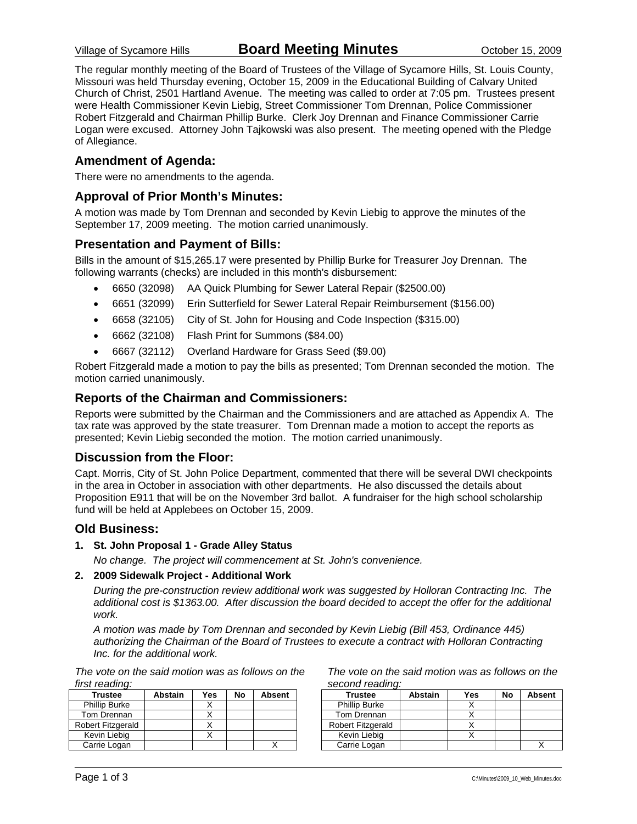The regular monthly meeting of the Board of Trustees of the Village of Sycamore Hills, St. Louis County, Missouri was held Thursday evening, October 15, 2009 in the Educational Building of Calvary United Church of Christ, 2501 Hartland Avenue. The meeting was called to order at 7:05 pm. Trustees present were Health Commissioner Kevin Liebig, Street Commissioner Tom Drennan, Police Commissioner Robert Fitzgerald and Chairman Phillip Burke. Clerk Joy Drennan and Finance Commissioner Carrie Logan were excused. Attorney John Tajkowski was also present. The meeting opened with the Pledge of Allegiance.

### **Amendment of Agenda:**

There were no amendments to the agenda.

### **Approval of Prior Month's Minutes:**

A motion was made by Tom Drennan and seconded by Kevin Liebig to approve the minutes of the September 17, 2009 meeting. The motion carried unanimously.

#### **Presentation and Payment of Bills:**

Bills in the amount of \$15,265.17 were presented by Phillip Burke for Treasurer Joy Drennan. The following warrants (checks) are included in this month's disbursement:

- 6650 (32098) AA Quick Plumbing for Sewer Lateral Repair (\$2500.00)
- 6651 (32099) Erin Sutterfield for Sewer Lateral Repair Reimbursement (\$156.00)
- 6658 (32105) City of St. John for Housing and Code Inspection (\$315.00)
- 6662 (32108) Flash Print for Summons (\$84.00)
- 6667 (32112) Overland Hardware for Grass Seed (\$9.00)

Robert Fitzgerald made a motion to pay the bills as presented; Tom Drennan seconded the motion. The motion carried unanimously.

### **Reports of the Chairman and Commissioners:**

Reports were submitted by the Chairman and the Commissioners and are attached as Appendix A. The tax rate was approved by the state treasurer. Tom Drennan made a motion to accept the reports as presented; Kevin Liebig seconded the motion. The motion carried unanimously.

#### **Discussion from the Floor:**

Capt. Morris, City of St. John Police Department, commented that there will be several DWI checkpoints in the area in October in association with other departments. He also discussed the details about Proposition E911 that will be on the November 3rd ballot. A fundraiser for the high school scholarship fund will be held at Applebees on October 15, 2009.

#### **Old Business:**

**1. St. John Proposal 1 - Grade Alley Status** 

*No change. The project will commencement at St. John's convenience.* 

#### **2. 2009 Sidewalk Project - Additional Work**

*During the pre-construction review additional work was suggested by Holloran Contracting Inc. The additional cost is \$1363.00. After discussion the board decided to accept the offer for the additional work.* 

*A motion was made by Tom Drennan and seconded by Kevin Liebig (Bill 453, Ordinance 445) authorizing the Chairman of the Board of Trustees to execute a contract with Holloran Contracting Inc. for the additional work.* 

*The vote on the said motion was as follows on the first reading:* 

| <b>Trustee</b>       | <b>Abstain</b> | Yes | No | <b>Absent</b> |
|----------------------|----------------|-----|----|---------------|
| <b>Phillip Burke</b> |                |     |    |               |
| Tom Drennan          |                |     |    |               |
| Robert Fitzgerald    |                |     |    |               |
| Kevin Liebig         |                |     |    |               |
| Carrie Logan         |                |     |    |               |

*The vote on the said motion was as follows on the second reading:* 

| <b>Trustee</b>           | Abstain | Yes | No | <b>Absent</b> |
|--------------------------|---------|-----|----|---------------|
| <b>Phillip Burke</b>     |         |     |    |               |
| Tom Drennan              |         |     |    |               |
| <b>Robert Fitzgerald</b> |         |     |    |               |
| Kevin Liebig             |         |     |    |               |
| Carrie Logan             |         |     |    |               |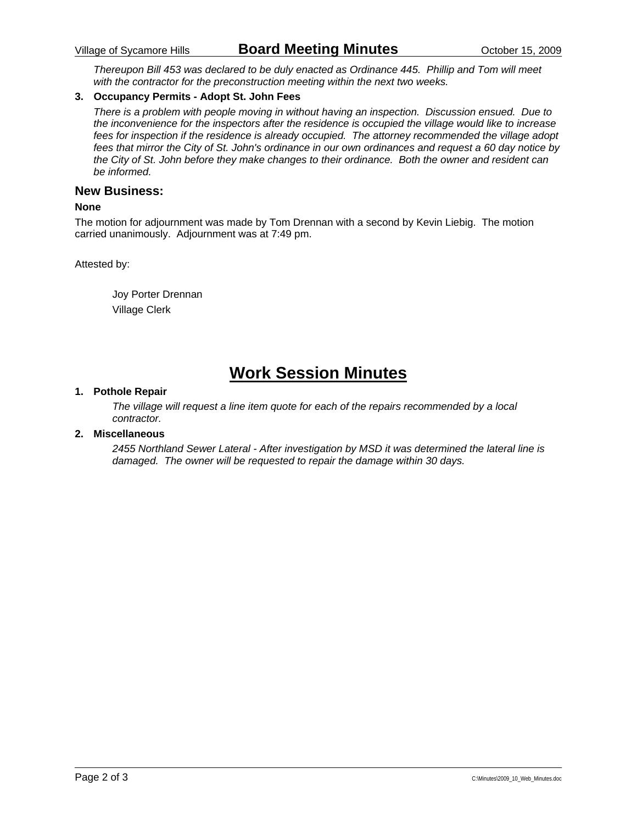*Thereupon Bill 453 was declared to be duly enacted as Ordinance 445. Phillip and Tom will meet with the contractor for the preconstruction meeting within the next two weeks.* 

#### **3. Occupancy Permits - Adopt St. John Fees**

*There is a problem with people moving in without having an inspection. Discussion ensued. Due to the inconvenience for the inspectors after the residence is occupied the village would like to increase fees for inspection if the residence is already occupied. The attorney recommended the village adopt fees that mirror the City of St. John's ordinance in our own ordinances and request a 60 day notice by the City of St. John before they make changes to their ordinance. Both the owner and resident can be informed.* 

#### **New Business:**

#### **None**

The motion for adjournment was made by Tom Drennan with a second by Kevin Liebig. The motion carried unanimously. Adjournment was at 7:49 pm.

Attested by:

 Joy Porter Drennan Village Clerk

# **Work Session Minutes**

#### **1. Pothole Repair**

*The village will request a line item quote for each of the repairs recommended by a local contractor.* 

#### **2. Miscellaneous**

*2455 Northland Sewer Lateral - After investigation by MSD it was determined the lateral line is damaged. The owner will be requested to repair the damage within 30 days.*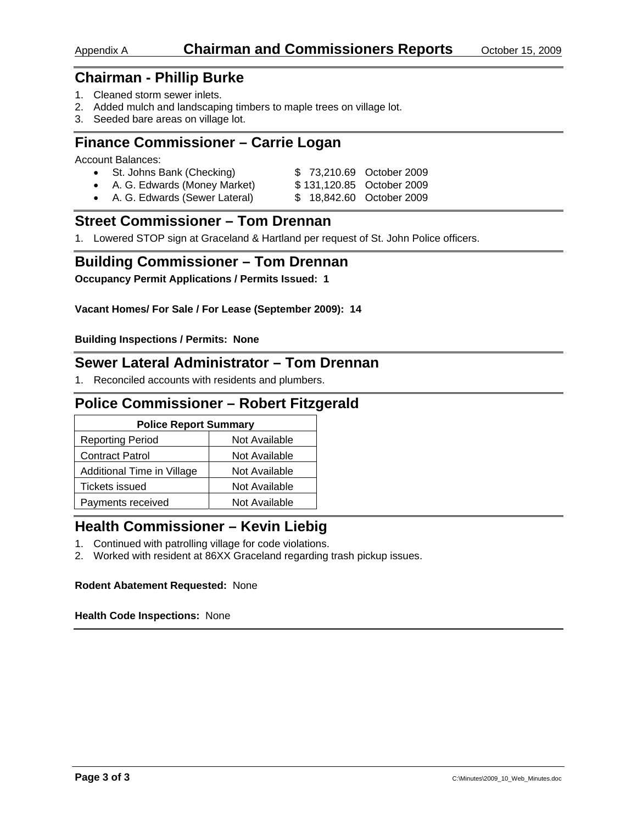## Appendix A **Chairman and Commissioners Reports** October 15, 2009

## **Chairman - Phillip Burke**

- 1. Cleaned storm sewer inlets.
- 2. Added mulch and landscaping timbers to maple trees on village lot.
- 3. Seeded bare areas on village lot.

## **Finance Commissioner – Carrie Logan**

Account Balances:

| St. Johns Bank (Checking)    | \$73,210.69 October 2009  |  |
|------------------------------|---------------------------|--|
| A. G. Edwards (Money Market) | \$131,120.85 October 2009 |  |

• A. G. Edwards (Sewer Lateral) \$ 18,842.60 October 2009

## **Street Commissioner – Tom Drennan**

1. Lowered STOP sign at Graceland & Hartland per request of St. John Police officers.

### **Building Commissioner – Tom Drennan**

**Occupancy Permit Applications / Permits Issued: 1** 

**Vacant Homes/ For Sale / For Lease (September 2009): 14** 

**Building Inspections / Permits: None** 

### **Sewer Lateral Administrator – Tom Drennan**

1. Reconciled accounts with residents and plumbers.

## **Police Commissioner – Robert Fitzgerald**

| <b>Police Report Summary</b> |               |  |  |
|------------------------------|---------------|--|--|
| <b>Reporting Period</b>      | Not Available |  |  |
| <b>Contract Patrol</b>       | Not Available |  |  |
| Additional Time in Village   | Not Available |  |  |
| Tickets issued               | Not Available |  |  |
| Payments received            | Not Available |  |  |

## **Health Commissioner – Kevin Liebig**

- 1. Continued with patrolling village for code violations.
- 2. Worked with resident at 86XX Graceland regarding trash pickup issues.

#### **Rodent Abatement Requested:** None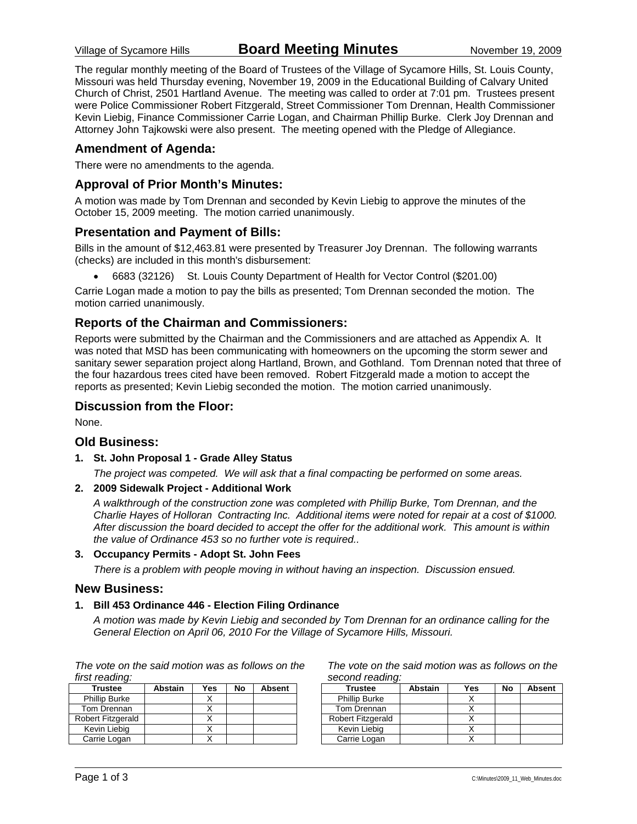The regular monthly meeting of the Board of Trustees of the Village of Sycamore Hills, St. Louis County, Missouri was held Thursday evening, November 19, 2009 in the Educational Building of Calvary United Church of Christ, 2501 Hartland Avenue. The meeting was called to order at 7:01 pm. Trustees present were Police Commissioner Robert Fitzgerald, Street Commissioner Tom Drennan, Health Commissioner Kevin Liebig, Finance Commissioner Carrie Logan, and Chairman Phillip Burke. Clerk Joy Drennan and Attorney John Tajkowski were also present. The meeting opened with the Pledge of Allegiance.

### **Amendment of Agenda:**

There were no amendments to the agenda.

### **Approval of Prior Month's Minutes:**

A motion was made by Tom Drennan and seconded by Kevin Liebig to approve the minutes of the October 15, 2009 meeting. The motion carried unanimously.

#### **Presentation and Payment of Bills:**

Bills in the amount of \$12,463.81 were presented by Treasurer Joy Drennan. The following warrants (checks) are included in this month's disbursement:

• 6683 (32126) St. Louis County Department of Health for Vector Control (\$201.00)

Carrie Logan made a motion to pay the bills as presented; Tom Drennan seconded the motion. The motion carried unanimously.

### **Reports of the Chairman and Commissioners:**

Reports were submitted by the Chairman and the Commissioners and are attached as Appendix A. It was noted that MSD has been communicating with homeowners on the upcoming the storm sewer and sanitary sewer separation project along Hartland, Brown, and Gothland. Tom Drennan noted that three of the four hazardous trees cited have been removed. Robert Fitzgerald made a motion to accept the reports as presented; Kevin Liebig seconded the motion. The motion carried unanimously.

#### **Discussion from the Floor:**

None.

#### **Old Business:**

**1. St. John Proposal 1 - Grade Alley Status** 

*The project was competed. We will ask that a final compacting be performed on some areas.* 

#### **2. 2009 Sidewalk Project - Additional Work**

*A walkthrough of the construction zone was completed with Phillip Burke, Tom Drennan, and the Charlie Hayes of Holloran Contracting Inc. Additional items were noted for repair at a cost of \$1000. After discussion the board decided to accept the offer for the additional work. This amount is within the value of Ordinance 453 so no further vote is required..* 

#### **3. Occupancy Permits - Adopt St. John Fees**

*There is a problem with people moving in without having an inspection. Discussion ensued.* 

#### **New Business:**

#### **1. Bill 453 Ordinance 446 - Election Filing Ordinance**

*A motion was made by Kevin Liebig and seconded by Tom Drennan for an ordinance calling for the General Election on April 06, 2010 For the Village of Sycamore Hills, Missouri.* 

*The vote on the said motion was as follows on the first reading:* 

| Trustee              | <b>Abstain</b> | Yes | No | Absent |
|----------------------|----------------|-----|----|--------|
| <b>Phillip Burke</b> |                |     |    |        |
| Tom Drennan          |                |     |    |        |
| Robert Fitzgerald    |                |     |    |        |
| Kevin Liebig         |                |     |    |        |
| Carrie Logan         |                |     |    |        |

*The vote on the said motion was as follows on the second reading:* 

| <b>Trustee</b>           | Abstain | Yes | No | <b>Absent</b> |
|--------------------------|---------|-----|----|---------------|
| <b>Phillip Burke</b>     |         |     |    |               |
| Tom Drennan              |         |     |    |               |
| <b>Robert Fitzgerald</b> |         |     |    |               |
| Kevin Liebia             |         |     |    |               |
| Carrie Logan             |         |     |    |               |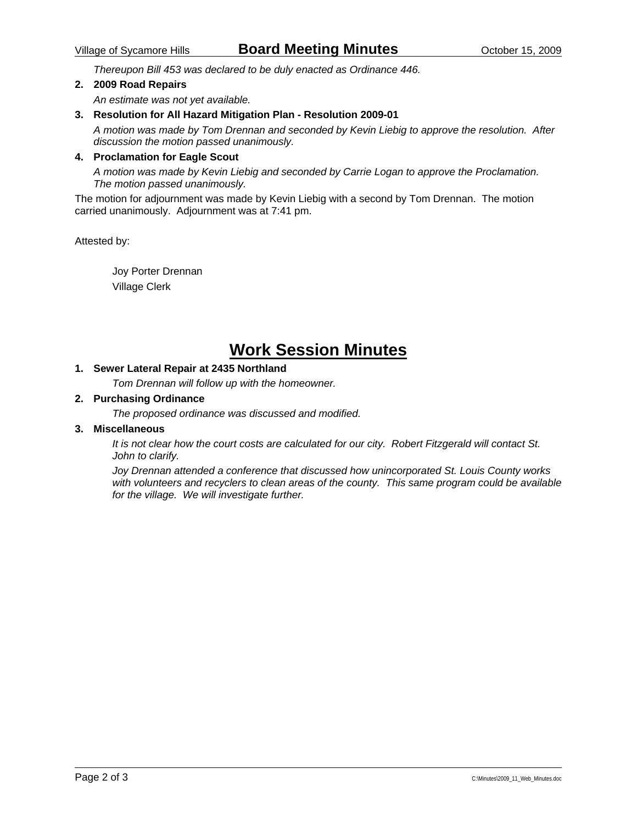*Thereupon Bill 453 was declared to be duly enacted as Ordinance 446.* 

#### **2. 2009 Road Repairs**

*An estimate was not yet available.* 

#### **3. Resolution for All Hazard Mitigation Plan - Resolution 2009-01**

*A motion was made by Tom Drennan and seconded by Kevin Liebig to approve the resolution. After discussion the motion passed unanimously.* 

#### **4. Proclamation for Eagle Scout**

*A motion was made by Kevin Liebig and seconded by Carrie Logan to approve the Proclamation. The motion passed unanimously.* 

The motion for adjournment was made by Kevin Liebig with a second by Tom Drennan. The motion carried unanimously. Adjournment was at 7:41 pm.

Attested by:

 Joy Porter Drennan Village Clerk

# **Work Session Minutes**

### **1. Sewer Lateral Repair at 2435 Northland**

*Tom Drennan will follow up with the homeowner.* 

#### **2. Purchasing Ordinance**

*The proposed ordinance was discussed and modified.* 

#### **3. Miscellaneous**

*It is not clear how the court costs are calculated for our city. Robert Fitzgerald will contact St. John to clarify.* 

*Joy Drennan attended a conference that discussed how unincorporated St. Louis County works with volunteers and recyclers to clean areas of the county. This same program could be available for the village. We will investigate further.*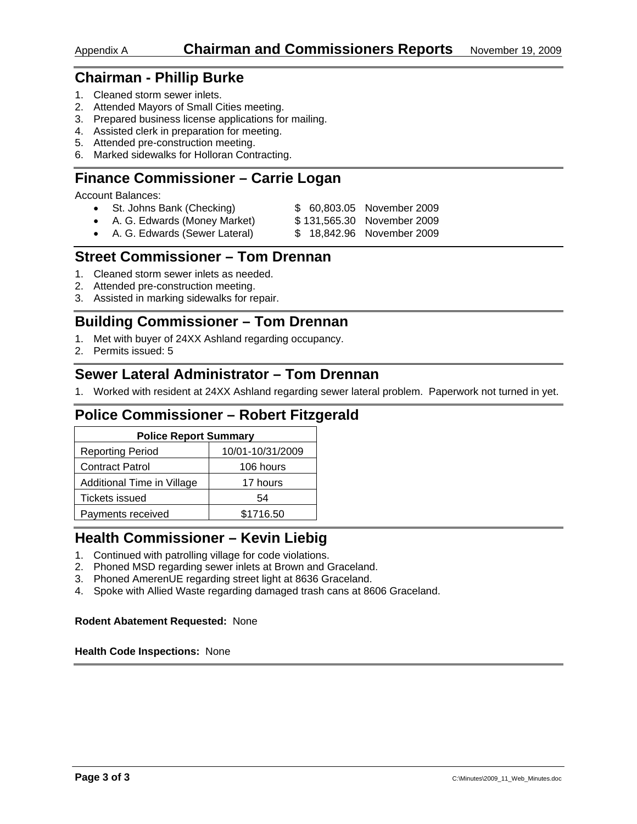## **Chairman - Phillip Burke**

- 1. Cleaned storm sewer inlets.
- 2. Attended Mayors of Small Cities meeting.
- 3. Prepared business license applications for mailing.
- 4. Assisted clerk in preparation for meeting.
- 5. Attended pre-construction meeting.
- 6. Marked sidewalks for Holloran Contracting.

## **Finance Commissioner – Carrie Logan**

Account Balances:

- St. Johns Bank (Checking) \$ 60,803.05 November 2009
- A. G. Edwards (Money Market) \$131,565.30 November 2009
- A. G. Edwards (Sewer Lateral) \$ 18,842.96 November 2009

## **Street Commissioner – Tom Drennan**

- 1. Cleaned storm sewer inlets as needed.
- 2. Attended pre-construction meeting.
- 3. Assisted in marking sidewalks for repair.

## **Building Commissioner – Tom Drennan**

- 1. Met with buyer of 24XX Ashland regarding occupancy.
- 2. Permits issued: 5

## **Sewer Lateral Administrator – Tom Drennan**

1. Worked with resident at 24XX Ashland regarding sewer lateral problem. Paperwork not turned in yet.

## **Police Commissioner – Robert Fitzgerald**

| <b>Police Report Summary</b> |                  |  |  |
|------------------------------|------------------|--|--|
| <b>Reporting Period</b>      | 10/01-10/31/2009 |  |  |
| <b>Contract Patrol</b>       | 106 hours        |  |  |
| Additional Time in Village   | 17 hours         |  |  |
| <b>Tickets issued</b>        | 54               |  |  |
| Payments received            | \$1716.50        |  |  |

## **Health Commissioner – Kevin Liebig**

- 1. Continued with patrolling village for code violations.
- 2. Phoned MSD regarding sewer inlets at Brown and Graceland.
- 3. Phoned AmerenUE regarding street light at 8636 Graceland.
- 4. Spoke with Allied Waste regarding damaged trash cans at 8606 Graceland.

#### **Rodent Abatement Requested:** None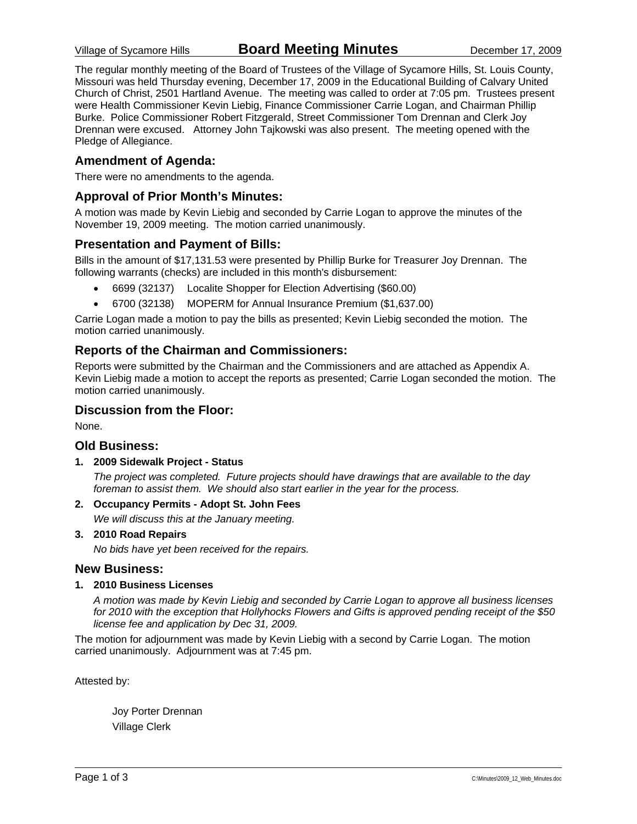The regular monthly meeting of the Board of Trustees of the Village of Sycamore Hills, St. Louis County, Missouri was held Thursday evening, December 17, 2009 in the Educational Building of Calvary United Church of Christ, 2501 Hartland Avenue. The meeting was called to order at 7:05 pm. Trustees present were Health Commissioner Kevin Liebig, Finance Commissioner Carrie Logan, and Chairman Phillip Burke. Police Commissioner Robert Fitzgerald, Street Commissioner Tom Drennan and Clerk Joy Drennan were excused. Attorney John Tajkowski was also present. The meeting opened with the Pledge of Allegiance.

### **Amendment of Agenda:**

There were no amendments to the agenda.

### **Approval of Prior Month's Minutes:**

A motion was made by Kevin Liebig and seconded by Carrie Logan to approve the minutes of the November 19, 2009 meeting. The motion carried unanimously.

### **Presentation and Payment of Bills:**

Bills in the amount of \$17,131.53 were presented by Phillip Burke for Treasurer Joy Drennan. The following warrants (checks) are included in this month's disbursement:

- 6699 (32137) Localite Shopper for Election Advertising (\$60.00)
- 6700 (32138) MOPERM for Annual Insurance Premium (\$1,637.00)

Carrie Logan made a motion to pay the bills as presented; Kevin Liebig seconded the motion. The motion carried unanimously.

### **Reports of the Chairman and Commissioners:**

Reports were submitted by the Chairman and the Commissioners and are attached as Appendix A. Kevin Liebig made a motion to accept the reports as presented; Carrie Logan seconded the motion. The motion carried unanimously.

### **Discussion from the Floor:**

None.

### **Old Business:**

**1. 2009 Sidewalk Project - Status** 

*The project was completed. Future projects should have drawings that are available to the day foreman to assist them. We should also start earlier in the year for the process.* 

**2. Occupancy Permits - Adopt St. John Fees** 

*We will discuss this at the January meeting.* 

**3. 2010 Road Repairs** 

*No bids have yet been received for the repairs.* 

#### **New Business:**

#### **1. 2010 Business Licenses**

*A motion was made by Kevin Liebig and seconded by Carrie Logan to approve all business licenses for 2010 with the exception that Hollyhocks Flowers and Gifts is approved pending receipt of the \$50 license fee and application by Dec 31, 2009.* 

The motion for adjournment was made by Kevin Liebig with a second by Carrie Logan. The motion carried unanimously. Adjournment was at 7:45 pm.

Attested by:

 Joy Porter Drennan Village Clerk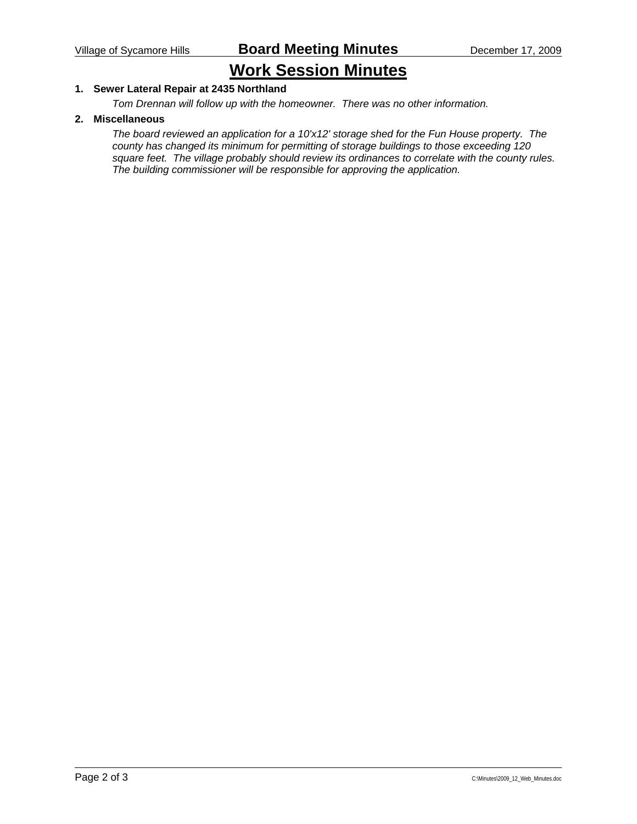# **Work Session Minutes**

### **1. Sewer Lateral Repair at 2435 Northland**

*Tom Drennan will follow up with the homeowner. There was no other information.* 

#### **2. Miscellaneous**

*The board reviewed an application for a 10'x12' storage shed for the Fun House property. The county has changed its minimum for permitting of storage buildings to those exceeding 120 square feet. The village probably should review its ordinances to correlate with the county rules. The building commissioner will be responsible for approving the application.*